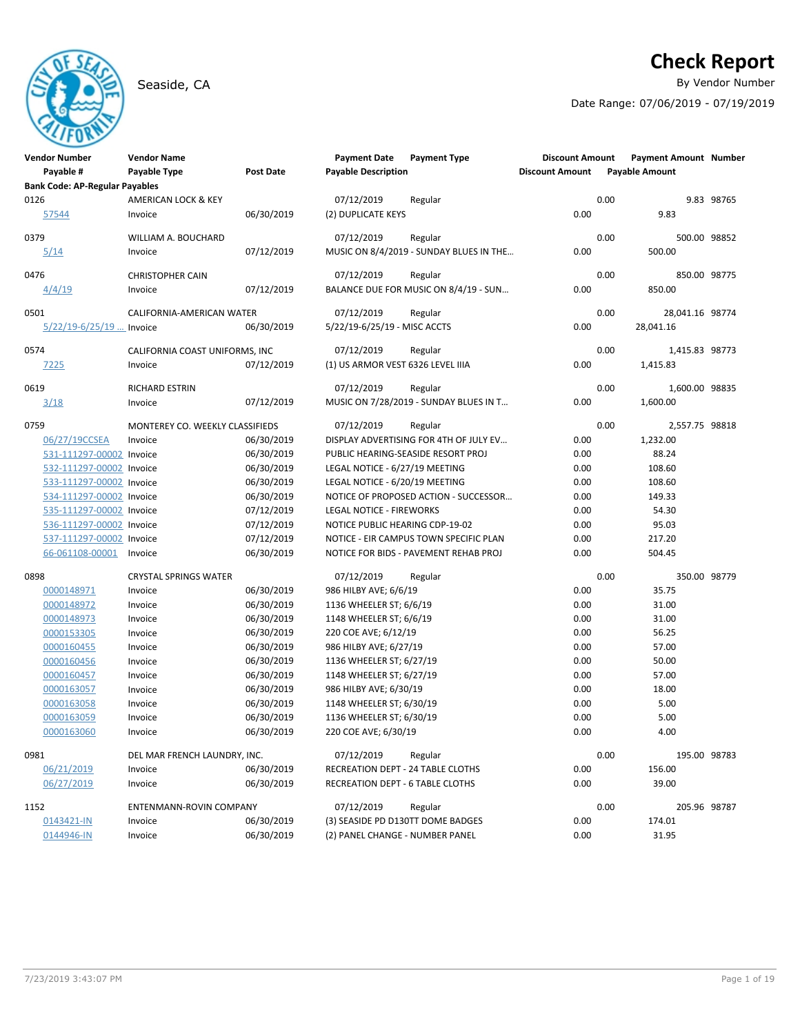# **Check Report**

Seaside, CA **By Vendor Number** 

Date Range: 07/06/2019 - 07/19/2019

| <b>Vendor Number</b>                  | <b>Vendor Name</b>              |            | <b>Payment Date</b>               | <b>Payment Type</b>                     | <b>Discount Amount</b> | <b>Payment Amount Number</b> |            |
|---------------------------------------|---------------------------------|------------|-----------------------------------|-----------------------------------------|------------------------|------------------------------|------------|
| Payable #                             | Payable Type                    | Post Date  | <b>Payable Description</b>        |                                         | <b>Discount Amount</b> | <b>Payable Amount</b>        |            |
| <b>Bank Code: AP-Regular Payables</b> |                                 |            |                                   |                                         |                        |                              |            |
| 0126                                  | AMERICAN LOCK & KEY             |            | 07/12/2019                        | Regular                                 |                        | 0.00                         | 9.83 98765 |
| 57544                                 | Invoice                         | 06/30/2019 | (2) DUPLICATE KEYS                |                                         | 0.00                   | 9.83                         |            |
| 0379                                  | WILLIAM A. BOUCHARD             |            | 07/12/2019                        | Regular                                 |                        | 0.00<br>500.00 98852         |            |
| 5/14                                  | Invoice                         | 07/12/2019 |                                   | MUSIC ON 8/4/2019 - SUNDAY BLUES IN THE | 0.00                   | 500.00                       |            |
| 0476                                  | <b>CHRISTOPHER CAIN</b>         |            | 07/12/2019                        | Regular                                 |                        | 0.00<br>850.00 98775         |            |
| 4/4/19                                | Invoice                         | 07/12/2019 |                                   | BALANCE DUE FOR MUSIC ON 8/4/19 - SUN   | 0.00                   | 850.00                       |            |
| 0501                                  | CALIFORNIA-AMERICAN WATER       |            | 07/12/2019                        | Regular                                 |                        | 0.00<br>28,041.16 98774      |            |
| 5/22/19-6/25/19  Invoice              |                                 | 06/30/2019 | 5/22/19-6/25/19 - MISC ACCTS      |                                         | 0.00                   | 28,041.16                    |            |
| 0574                                  | CALIFORNIA COAST UNIFORMS, INC  |            | 07/12/2019                        | Regular                                 |                        | 0.00<br>1,415.83 98773       |            |
| 7225                                  | Invoice                         | 07/12/2019 | (1) US ARMOR VEST 6326 LEVEL IIIA |                                         | 0.00                   | 1,415.83                     |            |
| 0619                                  | <b>RICHARD ESTRIN</b>           |            | 07/12/2019                        | Regular                                 |                        | 0.00<br>1,600.00 98835       |            |
| 3/18                                  | Invoice                         | 07/12/2019 |                                   | MUSIC ON 7/28/2019 - SUNDAY BLUES IN T  | 0.00                   | 1,600.00                     |            |
| 0759                                  | MONTEREY CO. WEEKLY CLASSIFIEDS |            | 07/12/2019                        | Regular                                 |                        | 0.00<br>2,557.75 98818       |            |
| 06/27/19CCSEA                         | Invoice                         | 06/30/2019 |                                   | DISPLAY ADVERTISING FOR 4TH OF JULY EV  | 0.00                   | 1,232.00                     |            |
| 531-111297-00002 Invoice              |                                 | 06/30/2019 |                                   | PUBLIC HEARING-SEASIDE RESORT PROJ      | 0.00                   | 88.24                        |            |
| 532-111297-00002 Invoice              |                                 | 06/30/2019 | LEGAL NOTICE - 6/27/19 MEETING    |                                         | 0.00                   | 108.60                       |            |
| 533-111297-00002 Invoice              |                                 | 06/30/2019 | LEGAL NOTICE - 6/20/19 MEETING    |                                         | 0.00                   | 108.60                       |            |
| 534-111297-00002 Invoice              |                                 | 06/30/2019 |                                   | NOTICE OF PROPOSED ACTION - SUCCESSOR   | 0.00                   | 149.33                       |            |
| 535-111297-00002 Invoice              |                                 | 07/12/2019 | <b>LEGAL NOTICE - FIREWORKS</b>   |                                         | 0.00                   | 54.30                        |            |
| 536-111297-00002 Invoice              |                                 | 07/12/2019 | NOTICE PUBLIC HEARING CDP-19-02   |                                         | 0.00                   | 95.03                        |            |
| 537-111297-00002 Invoice              |                                 | 07/12/2019 |                                   | NOTICE - EIR CAMPUS TOWN SPECIFIC PLAN  | 0.00                   | 217.20                       |            |
| 66-061108-00001                       | Invoice                         | 06/30/2019 |                                   | NOTICE FOR BIDS - PAVEMENT REHAB PROJ   | 0.00                   | 504.45                       |            |
| 0898                                  | <b>CRYSTAL SPRINGS WATER</b>    |            | 07/12/2019                        |                                         |                        | 0.00<br>350.00 98779         |            |
| 0000148971                            | Invoice                         | 06/30/2019 | 986 HILBY AVE; 6/6/19             | Regular                                 | 0.00                   | 35.75                        |            |
|                                       |                                 |            |                                   |                                         | 0.00                   |                              |            |
| 0000148972                            | Invoice                         | 06/30/2019 | 1136 WHEELER ST; 6/6/19           |                                         | 0.00                   | 31.00                        |            |
| 0000148973                            | Invoice                         | 06/30/2019 | 1148 WHEELER ST; 6/6/19           |                                         | 0.00                   | 31.00                        |            |
| 0000153305                            | Invoice                         | 06/30/2019 | 220 COE AVE; 6/12/19              |                                         |                        | 56.25                        |            |
| 0000160455                            | Invoice                         | 06/30/2019 | 986 HILBY AVE; 6/27/19            |                                         | 0.00                   | 57.00                        |            |
| 0000160456                            | Invoice                         | 06/30/2019 | 1136 WHEELER ST; 6/27/19          |                                         | 0.00                   | 50.00                        |            |
| 0000160457                            | Invoice                         | 06/30/2019 | 1148 WHEELER ST; 6/27/19          |                                         | 0.00                   | 57.00                        |            |
| 0000163057                            | Invoice                         | 06/30/2019 | 986 HILBY AVE; 6/30/19            |                                         | 0.00                   | 18.00                        |            |
| 0000163058                            | Invoice                         | 06/30/2019 | 1148 WHEELER ST; 6/30/19          |                                         | 0.00                   | 5.00                         |            |
| 0000163059                            | Invoice                         | 06/30/2019 | 1136 WHEELER ST; 6/30/19          |                                         | 0.00                   | 5.00                         |            |
| 0000163060                            | Invoice                         | 06/30/2019 | 220 COE AVE; 6/30/19              |                                         | 0.00                   | 4.00                         |            |
| 0981                                  | DEL MAR FRENCH LAUNDRY, INC.    |            | 07/12/2019                        | Regular                                 |                        | 0.00<br>195.00 98783         |            |
| 06/21/2019                            | Invoice                         | 06/30/2019 | RECREATION DEPT - 24 TABLE CLOTHS |                                         | 0.00                   | 156.00                       |            |
| 06/27/2019                            | Invoice                         | 06/30/2019 | RECREATION DEPT - 6 TABLE CLOTHS  |                                         | 0.00                   | 39.00                        |            |
| 1152                                  | ENTENMANN-ROVIN COMPANY         |            | 07/12/2019                        | Regular                                 |                        | 0.00<br>205.96 98787         |            |
| 0143421-IN                            | Invoice                         | 06/30/2019 | (3) SEASIDE PD D130TT DOME BADGES |                                         | 0.00                   | 174.01                       |            |
| 0144946-IN                            | Invoice                         | 06/30/2019 | (2) PANEL CHANGE - NUMBER PANEL   |                                         | 0.00                   | 31.95                        |            |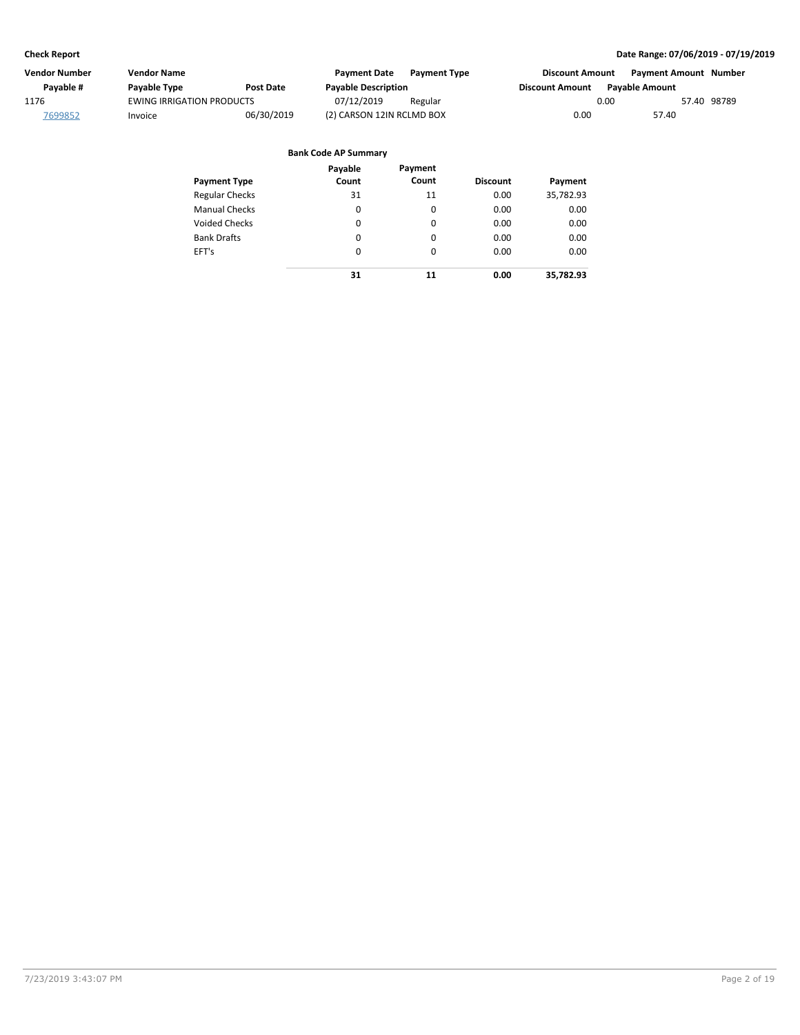| Vendor Number | Vendor Name                      |            | <b>Payment Date</b>        | <b>Payment Type</b> | <b>Discount Amount</b> | <b>Payment Amount Number</b> |  |
|---------------|----------------------------------|------------|----------------------------|---------------------|------------------------|------------------------------|--|
| Pavable #     | Payable Type                     | Post Date  | <b>Payable Description</b> |                     | <b>Discount Amount</b> | <b>Pavable Amount</b>        |  |
| 1176          | <b>EWING IRRIGATION PRODUCTS</b> |            | 07/12/2019                 | Regular             | 0.00                   | 57.40 98789                  |  |
| 7699852       | Invoice                          | 06/30/2019 | (2) CARSON 12IN RCLMD BOX  |                     | 0.00                   | 57.40                        |  |

| <b>Payment Type</b>   | Payable<br>Count | Payment<br>Count | <b>Discount</b> | Payment   |
|-----------------------|------------------|------------------|-----------------|-----------|
| <b>Regular Checks</b> | 31               | 11               | 0.00            | 35,782.93 |
| <b>Manual Checks</b>  | 0                | 0                | 0.00            | 0.00      |
| <b>Voided Checks</b>  | 0                | 0                | 0.00            | 0.00      |
| <b>Bank Drafts</b>    | 0                | 0                | 0.00            | 0.00      |
| EFT's                 | 0                | $\Omega$         | 0.00            | 0.00      |
|                       | 31               | 11               | 0.00            | 35,782.93 |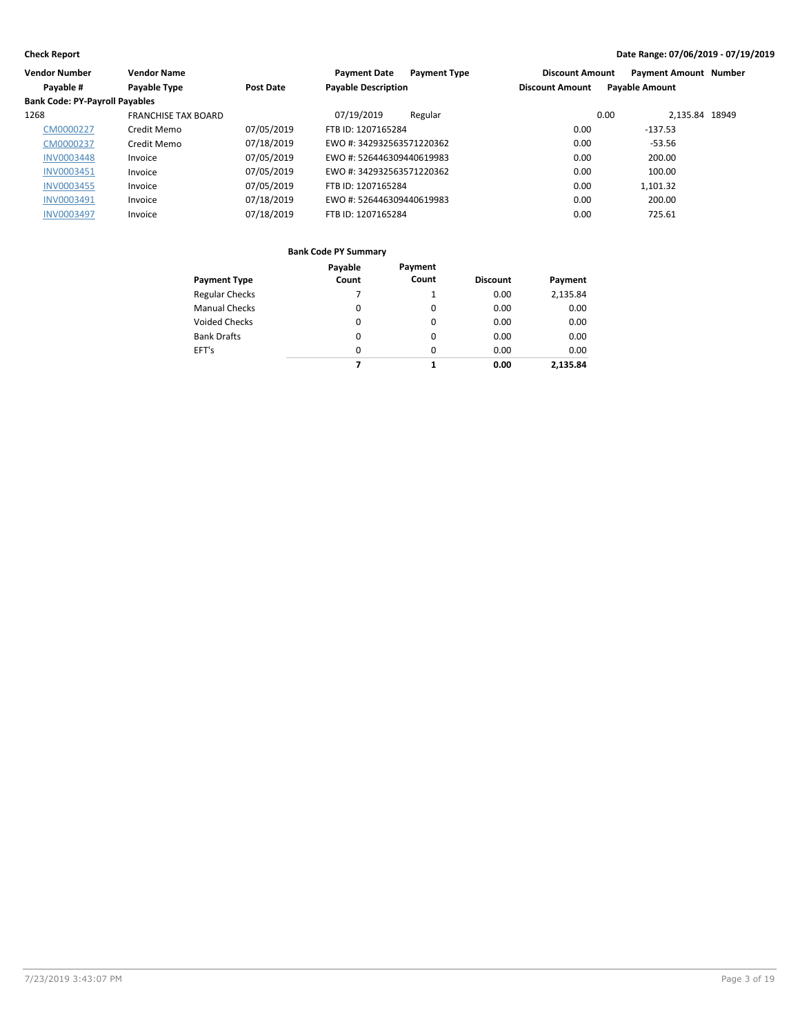| <b>Vendor Number</b>                  | <b>Vendor Name</b>         |                  | <b>Payment Date</b>        | <b>Payment Type</b> | <b>Discount Amount</b> | <b>Payment Amount Number</b> |  |
|---------------------------------------|----------------------------|------------------|----------------------------|---------------------|------------------------|------------------------------|--|
| Payable #                             | Payable Type               | <b>Post Date</b> | <b>Payable Description</b> |                     | <b>Discount Amount</b> | <b>Payable Amount</b>        |  |
| <b>Bank Code: PY-Payroll Payables</b> |                            |                  |                            |                     |                        |                              |  |
| 1268                                  | <b>FRANCHISE TAX BOARD</b> |                  | 07/19/2019                 | Regular             |                        | 2.135.84 18949<br>0.00       |  |
| CM0000227                             | Credit Memo                | 07/05/2019       | FTB ID: 1207165284         |                     | 0.00                   | $-137.53$                    |  |
| CM0000237                             | Credit Memo                | 07/18/2019       | EWO #: 342932563571220362  |                     | 0.00                   | $-53.56$                     |  |
| <b>INV0003448</b>                     | Invoice                    | 07/05/2019       | EWO #: 526446309440619983  |                     | 0.00                   | 200.00                       |  |
| <b>INV0003451</b>                     | Invoice                    | 07/05/2019       | EWO #: 342932563571220362  |                     | 0.00                   | 100.00                       |  |
| <b>INV0003455</b>                     | Invoice                    | 07/05/2019       | FTB ID: 1207165284         |                     | 0.00                   | 1.101.32                     |  |
| <b>INV0003491</b>                     | Invoice                    | 07/18/2019       | EWO #: 526446309440619983  |                     | 0.00                   | 200.00                       |  |
| <b>INV0003497</b>                     | Invoice                    | 07/18/2019       | FTB ID: 1207165284         |                     | 0.00                   | 725.61                       |  |

| <b>Payment Type</b>   | Payable<br>Count | Payment<br>Count | <b>Discount</b> | Payment  |
|-----------------------|------------------|------------------|-----------------|----------|
| <b>Regular Checks</b> |                  | 1                | 0.00            | 2,135.84 |
| <b>Manual Checks</b>  | 0                | 0                | 0.00            | 0.00     |
| <b>Voided Checks</b>  | 0                | 0                | 0.00            | 0.00     |
| <b>Bank Drafts</b>    | 0                | 0                | 0.00            | 0.00     |
| EFT's                 | 0                | $\Omega$         | 0.00            | 0.00     |
|                       | 7                | 1                | 0.00            | 2.135.84 |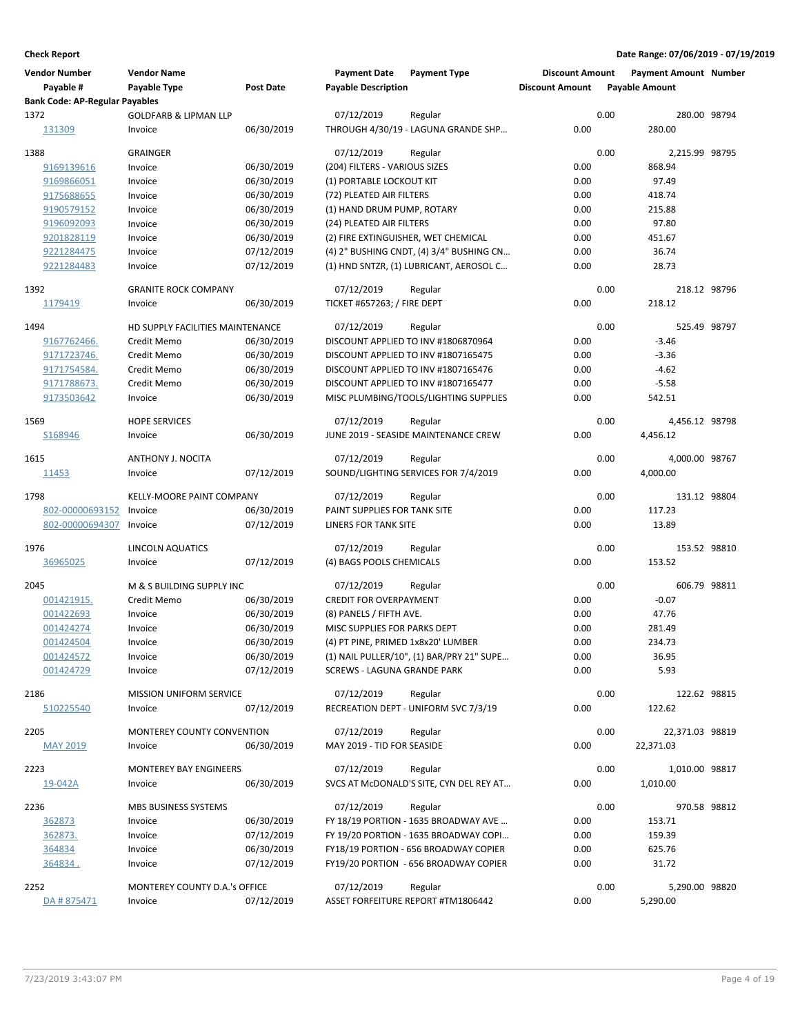| <b>Vendor Number</b>                               | <b>Vendor Name</b>                |                  | <b>Payment Date</b>                | <b>Payment Type</b>                       | <b>Discount Amount</b> |      | <b>Payment Amount Number</b> |  |
|----------------------------------------------------|-----------------------------------|------------------|------------------------------------|-------------------------------------------|------------------------|------|------------------------------|--|
| Payable #<br><b>Bank Code: AP-Regular Payables</b> | Payable Type                      | <b>Post Date</b> | <b>Payable Description</b>         |                                           | <b>Discount Amount</b> |      | <b>Payable Amount</b>        |  |
| 1372                                               | <b>GOLDFARB &amp; LIPMAN LLP</b>  |                  | 07/12/2019                         | Regular                                   |                        | 0.00 | 280.00 98794                 |  |
| 131309                                             | Invoice                           | 06/30/2019       |                                    | THROUGH 4/30/19 - LAGUNA GRANDE SHP       | 0.00                   |      | 280.00                       |  |
| 1388                                               | <b>GRAINGER</b>                   |                  | 07/12/2019                         | Regular                                   |                        | 0.00 | 2,215.99 98795               |  |
| 9169139616                                         | Invoice                           | 06/30/2019       | (204) FILTERS - VARIOUS SIZES      |                                           | 0.00                   |      | 868.94                       |  |
| 9169866051                                         | Invoice                           | 06/30/2019       | (1) PORTABLE LOCKOUT KIT           |                                           | 0.00                   |      | 97.49                        |  |
| 9175688655                                         | Invoice                           | 06/30/2019       | (72) PLEATED AIR FILTERS           |                                           | 0.00                   |      | 418.74                       |  |
| 9190579152                                         | Invoice                           | 06/30/2019       | (1) HAND DRUM PUMP, ROTARY         |                                           | 0.00                   |      | 215.88                       |  |
| 9196092093                                         | Invoice                           | 06/30/2019       | (24) PLEATED AIR FILTERS           |                                           | 0.00                   |      | 97.80                        |  |
| 9201828119                                         | Invoice                           | 06/30/2019       |                                    | (2) FIRE EXTINGUISHER, WET CHEMICAL       | 0.00                   |      | 451.67                       |  |
| 9221284475                                         | Invoice                           | 07/12/2019       |                                    | (4) 2" BUSHING CNDT, (4) 3/4" BUSHING CN  | 0.00                   |      | 36.74                        |  |
| 9221284483                                         | Invoice                           | 07/12/2019       |                                    | (1) HND SNTZR, (1) LUBRICANT, AEROSOL C   | 0.00                   |      | 28.73                        |  |
| 1392                                               | <b>GRANITE ROCK COMPANY</b>       |                  | 07/12/2019                         | Regular                                   |                        | 0.00 | 218.12 98796                 |  |
| 1179419                                            | Invoice                           | 06/30/2019       | <b>TICKET #657263; / FIRE DEPT</b> |                                           | 0.00                   |      | 218.12                       |  |
| 1494                                               | HD SUPPLY FACILITIES MAINTENANCE  |                  | 07/12/2019                         | Regular                                   |                        | 0.00 | 525.49 98797                 |  |
| 9167762466.                                        | Credit Memo                       | 06/30/2019       |                                    | DISCOUNT APPLIED TO INV #1806870964       | 0.00                   |      | $-3.46$                      |  |
| 9171723746.                                        | Credit Memo                       | 06/30/2019       |                                    | DISCOUNT APPLIED TO INV #1807165475       | 0.00                   |      | $-3.36$                      |  |
| 9171754584.                                        | Credit Memo                       | 06/30/2019       |                                    | DISCOUNT APPLIED TO INV #1807165476       | 0.00                   |      | $-4.62$                      |  |
| 9171788673.                                        | Credit Memo                       | 06/30/2019       |                                    | DISCOUNT APPLIED TO INV #1807165477       | 0.00                   |      | $-5.58$                      |  |
| 9173503642                                         | Invoice                           | 06/30/2019       |                                    | MISC PLUMBING/TOOLS/LIGHTING SUPPLIES     | 0.00                   |      | 542.51                       |  |
| 1569                                               | <b>HOPE SERVICES</b>              |                  | 07/12/2019                         | Regular                                   |                        | 0.00 | 4,456.12 98798               |  |
| S168946                                            | Invoice                           | 06/30/2019       |                                    | JUNE 2019 - SEASIDE MAINTENANCE CREW      | 0.00                   |      | 4,456.12                     |  |
| 1615                                               | ANTHONY J. NOCITA                 |                  | 07/12/2019                         | Regular                                   |                        | 0.00 | 4,000.00 98767               |  |
| 11453                                              | Invoice                           | 07/12/2019       |                                    | SOUND/LIGHTING SERVICES FOR 7/4/2019      | 0.00                   |      | 4,000.00                     |  |
| 1798                                               | KELLY-MOORE PAINT COMPANY         |                  | 07/12/2019                         | Regular                                   |                        | 0.00 | 131.12 98804                 |  |
| 802-00000693152                                    | Invoice                           | 06/30/2019       | PAINT SUPPLIES FOR TANK SITE       |                                           | 0.00                   |      | 117.23                       |  |
| 802-00000694307                                    | Invoice                           | 07/12/2019       | LINERS FOR TANK SITE               |                                           | 0.00                   |      | 13.89                        |  |
| 1976                                               | LINCOLN AQUATICS                  |                  | 07/12/2019                         | Regular                                   |                        | 0.00 | 153.52 98810                 |  |
| 36965025                                           | Invoice                           | 07/12/2019       | (4) BAGS POOLS CHEMICALS           |                                           | 0.00                   |      | 153.52                       |  |
| 2045                                               | M & S BUILDING SUPPLY INC         |                  | 07/12/2019                         | Regular                                   |                        | 0.00 | 606.79 98811                 |  |
| 001421915.                                         | Credit Memo                       | 06/30/2019       | <b>CREDIT FOR OVERPAYMENT</b>      |                                           | 0.00                   |      | $-0.07$                      |  |
| 001422693                                          | Invoice                           | 06/30/2019       | (8) PANELS / FIFTH AVE.            |                                           | 0.00                   |      | 47.76                        |  |
| 001424274                                          | Invoice                           | 06/30/2019       | MISC SUPPLIES FOR PARKS DEPT       |                                           | 0.00                   |      | 281.49                       |  |
| 001424504                                          | Invoice                           | 06/30/2019       | (4) PT PINE, PRIMED 1x8x20' LUMBER |                                           | 0.00                   |      | 234.73                       |  |
| 001424572                                          | Invoice                           | 06/30/2019       |                                    | (1) NAIL PULLER/10", (1) BAR/PRY 21" SUPE | 0.00                   |      | 36.95                        |  |
| 001424729                                          | Invoice                           | 07/12/2019       | <b>SCREWS - LAGUNA GRANDE PARK</b> |                                           | 0.00                   |      | 5.93                         |  |
| 2186                                               | MISSION UNIFORM SERVICE           |                  | 07/12/2019                         | Regular                                   |                        | 0.00 | 122.62 98815                 |  |
| 510225540                                          | Invoice                           | 07/12/2019       |                                    | RECREATION DEPT - UNIFORM SVC 7/3/19      | 0.00                   |      | 122.62                       |  |
| 2205                                               | <b>MONTEREY COUNTY CONVENTION</b> |                  | 07/12/2019                         | Regular                                   |                        | 0.00 | 22,371.03 98819              |  |
| <b>MAY 2019</b>                                    | Invoice                           | 06/30/2019       | MAY 2019 - TID FOR SEASIDE         |                                           | 0.00                   |      | 22,371.03                    |  |
| 2223                                               | MONTEREY BAY ENGINEERS            |                  | 07/12/2019                         | Regular                                   |                        | 0.00 | 1,010.00 98817               |  |
| 19-042A                                            | Invoice                           | 06/30/2019       |                                    | SVCS AT McDONALD'S SITE, CYN DEL REY AT   | 0.00                   |      | 1,010.00                     |  |
| 2236                                               | MBS BUSINESS SYSTEMS              |                  | 07/12/2019                         | Regular                                   |                        | 0.00 | 970.58 98812                 |  |
| 362873                                             | Invoice                           | 06/30/2019       |                                    | FY 18/19 PORTION - 1635 BROADWAY AVE      | 0.00                   |      | 153.71                       |  |
| 362873.                                            | Invoice                           | 07/12/2019       |                                    | FY 19/20 PORTION - 1635 BROADWAY COPI     | 0.00                   |      | 159.39                       |  |
| 364834                                             | Invoice                           | 06/30/2019       |                                    | FY18/19 PORTION - 656 BROADWAY COPIER     | 0.00                   |      | 625.76                       |  |
| 364834.                                            | Invoice                           | 07/12/2019       |                                    | FY19/20 PORTION - 656 BROADWAY COPIER     | 0.00                   |      | 31.72                        |  |
| 2252                                               | MONTEREY COUNTY D.A.'s OFFICE     |                  | 07/12/2019                         | Regular                                   |                        | 0.00 | 5,290.00 98820               |  |
| DA #875471                                         | Invoice                           | 07/12/2019       |                                    | ASSET FORFEITURE REPORT #TM1806442        | 0.00                   |      | 5,290.00                     |  |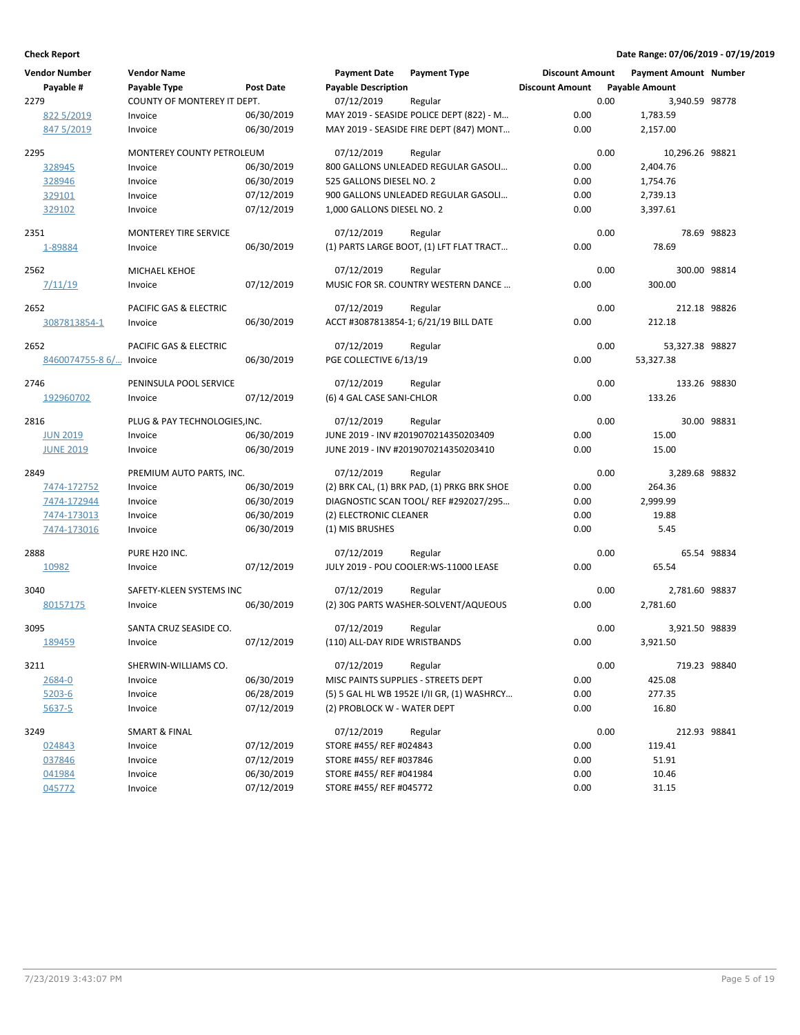| <b>Vendor Number</b>     | <b>Vendor Name</b>                  |                          | <b>Payment Date</b>                   | <b>Payment Type</b>                         | <b>Discount Amount</b> |      | <b>Payment Amount Number</b> |             |
|--------------------------|-------------------------------------|--------------------------|---------------------------------------|---------------------------------------------|------------------------|------|------------------------------|-------------|
| Payable #                | Payable Type                        | <b>Post Date</b>         | <b>Payable Description</b>            |                                             | <b>Discount Amount</b> |      | <b>Payable Amount</b>        |             |
| 2279                     | COUNTY OF MONTEREY IT DEPT.         |                          | 07/12/2019                            | Regular                                     |                        | 0.00 | 3,940.59 98778               |             |
| 822 5/2019<br>847 5/2019 | Invoice                             | 06/30/2019<br>06/30/2019 |                                       | MAY 2019 - SEASIDE POLICE DEPT (822) - M    | 0.00                   |      | 1,783.59                     |             |
|                          | Invoice                             |                          |                                       | MAY 2019 - SEASIDE FIRE DEPT (847) MONT     | 0.00                   |      | 2,157.00                     |             |
| 2295                     | MONTEREY COUNTY PETROLEUM           |                          | 07/12/2019                            | Regular                                     |                        | 0.00 | 10,296.26 98821              |             |
| 328945                   | Invoice                             | 06/30/2019               |                                       | 800 GALLONS UNLEADED REGULAR GASOLI         | 0.00                   |      | 2,404.76                     |             |
| 328946                   | Invoice                             | 06/30/2019               | 525 GALLONS DIESEL NO. 2              |                                             | 0.00                   |      | 1,754.76                     |             |
| 329101                   | Invoice                             | 07/12/2019               |                                       | 900 GALLONS UNLEADED REGULAR GASOLI         | 0.00                   |      | 2,739.13                     |             |
| 329102                   | Invoice                             | 07/12/2019               | 1,000 GALLONS DIESEL NO. 2            |                                             | 0.00                   |      | 3,397.61                     |             |
| 2351                     | MONTEREY TIRE SERVICE               |                          | 07/12/2019                            | Regular                                     |                        | 0.00 |                              | 78.69 98823 |
| 1-89884                  | Invoice                             | 06/30/2019               |                                       | (1) PARTS LARGE BOOT, (1) LFT FLAT TRACT    | 0.00                   |      | 78.69                        |             |
|                          |                                     |                          |                                       |                                             |                        |      |                              |             |
| 2562                     | MICHAEL KEHOE                       |                          | 07/12/2019                            | Regular                                     |                        | 0.00 | 300.00 98814                 |             |
| 7/11/19                  | Invoice                             | 07/12/2019               |                                       | MUSIC FOR SR. COUNTRY WESTERN DANCE         | 0.00                   |      | 300.00                       |             |
| 2652                     | PACIFIC GAS & ELECTRIC              |                          | 07/12/2019                            | Regular                                     |                        | 0.00 | 212.18 98826                 |             |
| 3087813854-1             | Invoice                             | 06/30/2019               |                                       | ACCT #3087813854-1; 6/21/19 BILL DATE       | 0.00                   |      | 212.18                       |             |
| 2652                     | PACIFIC GAS & ELECTRIC              |                          | 07/12/2019                            | Regular                                     |                        | 0.00 | 53,327.38 98827              |             |
| 8460074755-8 6/ Invoice  |                                     | 06/30/2019               | PGE COLLECTIVE 6/13/19                |                                             | 0.00                   |      | 53,327.38                    |             |
| 2746                     | PENINSULA POOL SERVICE              |                          | 07/12/2019                            | Regular                                     |                        | 0.00 | 133.26 98830                 |             |
| 192960702                | Invoice                             | 07/12/2019               | (6) 4 GAL CASE SANI-CHLOR             |                                             | 0.00                   |      | 133.26                       |             |
|                          |                                     |                          |                                       |                                             |                        |      |                              |             |
| 2816                     | PLUG & PAY TECHNOLOGIES, INC.       |                          | 07/12/2019                            | Regular                                     |                        | 0.00 |                              | 30.00 98831 |
| <b>JUN 2019</b>          | Invoice                             | 06/30/2019               |                                       | JUNE 2019 - INV #2019070214350203409        | 0.00                   |      | 15.00                        |             |
| <b>JUNE 2019</b>         | Invoice                             | 06/30/2019               |                                       | JUNE 2019 - INV #2019070214350203410        | 0.00                   |      | 15.00                        |             |
| 2849                     | PREMIUM AUTO PARTS, INC.            |                          | 07/12/2019                            | Regular                                     |                        | 0.00 | 3,289.68 98832               |             |
| 7474-172752              | Invoice                             | 06/30/2019               |                                       | (2) BRK CAL, (1) BRK PAD, (1) PRKG BRK SHOE | 0.00                   |      | 264.36                       |             |
| 7474-172944              | Invoice                             | 06/30/2019               |                                       | DIAGNOSTIC SCAN TOOL/ REF #292027/295       | 0.00                   |      | 2,999.99                     |             |
| 7474-173013              | Invoice                             | 06/30/2019               | (2) ELECTRONIC CLEANER                |                                             | 0.00                   |      | 19.88                        |             |
| 7474-173016              | Invoice                             | 06/30/2019               | (1) MIS BRUSHES                       |                                             | 0.00                   |      | 5.45                         |             |
| 2888                     | PURE H20 INC.                       |                          | 07/12/2019                            | Regular                                     |                        | 0.00 |                              | 65.54 98834 |
| 10982                    | Invoice                             | 07/12/2019               |                                       | JULY 2019 - POU COOLER:WS-11000 LEASE       | 0.00                   |      | 65.54                        |             |
|                          |                                     |                          |                                       |                                             |                        |      |                              |             |
| 3040                     | SAFETY-KLEEN SYSTEMS INC            |                          | 07/12/2019                            | Regular                                     |                        | 0.00 | 2,781.60 98837               |             |
| 80157175                 | Invoice                             | 06/30/2019               |                                       | (2) 30G PARTS WASHER-SOLVENT/AQUEOUS        | 0.00                   |      | 2,781.60                     |             |
| 3095                     | SANTA CRUZ SEASIDE CO.              |                          | 07/12/2019                            | Regular                                     |                        | 0.00 | 3,921.50 98839               |             |
| 189459                   | Invoice                             | 07/12/2019               | (110) ALL-DAY RIDE WRISTBANDS         |                                             | 0.00                   |      | 3,921.50                     |             |
| 3211                     | SHERWIN-WILLIAMS CO.                |                          | 07/12/2019                            | Regular                                     |                        | 0.00 | 719.23 98840                 |             |
| 2684-0                   | Invoice                             | 06/30/2019               | MISC PAINTS SUPPLIES - STREETS DEPT   |                                             | 0.00                   |      | 425.08                       |             |
| 5203-6                   | Invoice                             | 06/28/2019               |                                       | (5) 5 GAL HL WB 1952E I/II GR, (1) WASHRCY  | 0.00                   |      | 277.35                       |             |
| 5637-5                   | Invoice                             | 07/12/2019               | (2) PROBLOCK W - WATER DEPT           |                                             | 0.00                   |      | 16.80                        |             |
|                          |                                     |                          |                                       |                                             |                        |      |                              |             |
| 3249<br>024843           | <b>SMART &amp; FINAL</b><br>Invoice | 07/12/2019               | 07/12/2019<br>STORE #455/ REF #024843 | Regular                                     | 0.00                   | 0.00 | 212.93 98841<br>119.41       |             |
| 037846                   | Invoice                             | 07/12/2019               | STORE #455/ REF #037846               |                                             | 0.00                   |      | 51.91                        |             |
| 041984                   | Invoice                             | 06/30/2019               | STORE #455/ REF #041984               |                                             | 0.00                   |      | 10.46                        |             |
| 045772                   | Invoice                             | 07/12/2019               | STORE #455/REF #045772                |                                             | 0.00                   |      | 31.15                        |             |
|                          |                                     |                          |                                       |                                             |                        |      |                              |             |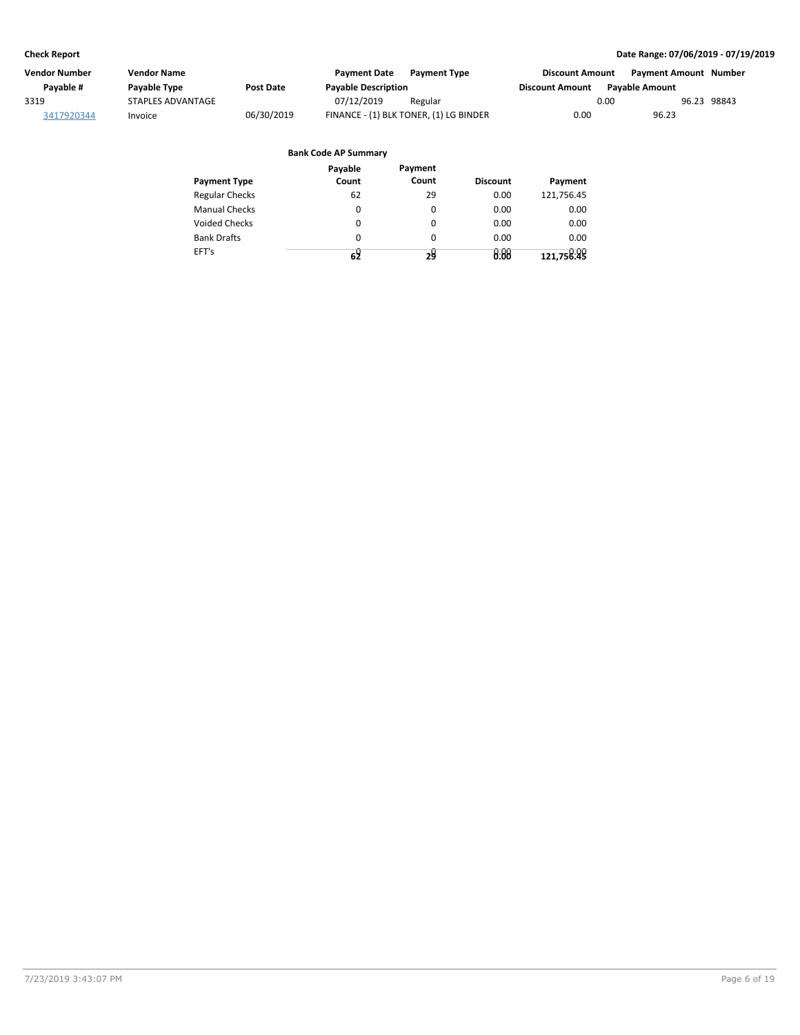| Vendor Number | Vendor Name              |            | <b>Payment Date</b>        | <b>Payment Type</b>                    | Discount Amount        | Payment Amount Number |             |
|---------------|--------------------------|------------|----------------------------|----------------------------------------|------------------------|-----------------------|-------------|
| Pavable #     | Payable Type             | Post Date  | <b>Payable Description</b> |                                        | <b>Discount Amount</b> | <b>Pavable Amount</b> |             |
| 3319          | <b>STAPLES ADVANTAGE</b> |            | 07/12/2019                 | Regular                                |                        | 0.00                  | 96.23 98843 |
| 3417920344    | Invoice                  | 06/30/2019 |                            | FINANCE - (1) BLK TONER, (1) LG BINDER | 0.00                   | 96.23                 |             |

|                       | Payable<br>Count | Payment<br>Count | <b>Discount</b> |            |
|-----------------------|------------------|------------------|-----------------|------------|
| <b>Payment Type</b>   |                  |                  |                 | Payment    |
| <b>Regular Checks</b> | 62               | 29               | 0.00            | 121,756.45 |
| <b>Manual Checks</b>  | 0                | 0                | 0.00            | 0.00       |
| <b>Voided Checks</b>  | 0                | 0                | 0.00            | 0.00       |
| <b>Bank Drafts</b>    | 0                | 0                | 0.00            | 0.00       |
| EFT's                 | 62               | 24               | 0.00            | 121,758:48 |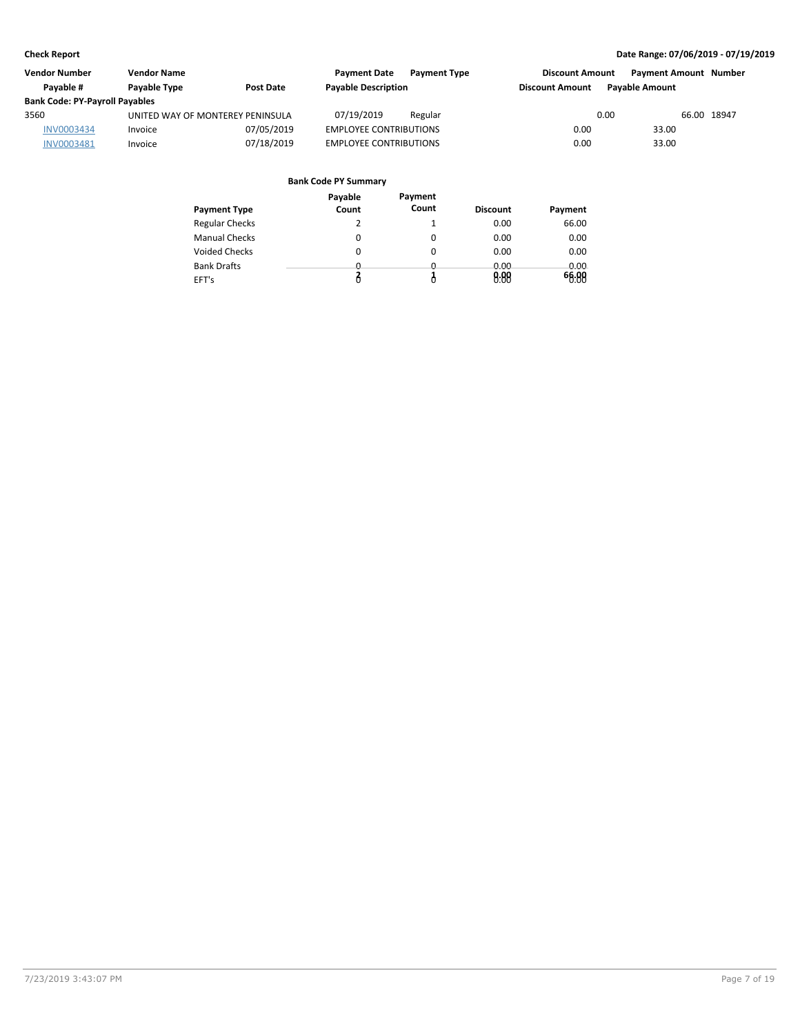| Vendor Number                         | <b>Vendor Name</b>               |                  | <b>Payment Date</b>           | <b>Payment Type</b> | <b>Discount Amount</b> | <b>Payment Amount Number</b> |             |
|---------------------------------------|----------------------------------|------------------|-------------------------------|---------------------|------------------------|------------------------------|-------------|
| Pavable #                             | Payable Type                     | <b>Post Date</b> | <b>Payable Description</b>    |                     | <b>Discount Amount</b> | <b>Pavable Amount</b>        |             |
| <b>Bank Code: PY-Payroll Payables</b> |                                  |                  |                               |                     |                        |                              |             |
| 3560                                  | UNITED WAY OF MONTEREY PENINSULA |                  | 07/19/2019                    | Regular             |                        | 0.00                         | 66.00 18947 |
| <b>INV0003434</b>                     | Invoice                          | 07/05/2019       | <b>EMPLOYEE CONTRIBUTIONS</b> |                     | 0.00                   | 33.00                        |             |
| INV0003481                            | Invoice                          | 07/18/2019       | <b>EMPLOYEE CONTRIBUTIONS</b> |                     | 0.00                   | 33.00                        |             |

| <b>Payment Type</b>   | Payable<br>Count | Payment<br>Count | <b>Discount</b> | Payment |
|-----------------------|------------------|------------------|-----------------|---------|
| <b>Regular Checks</b> |                  |                  | 0.00            | 66.00   |
| <b>Manual Checks</b>  | 0                | 0                | 0.00            | 0.00    |
| <b>Voided Checks</b>  | 0                | 0                | 0.00            | 0.00    |
| <b>Bank Drafts</b>    | <u>n</u>         | <u>n</u>         | 0.00            | 0.00    |
| EFT's                 |                  | Ô                | 0.00            | 66.00   |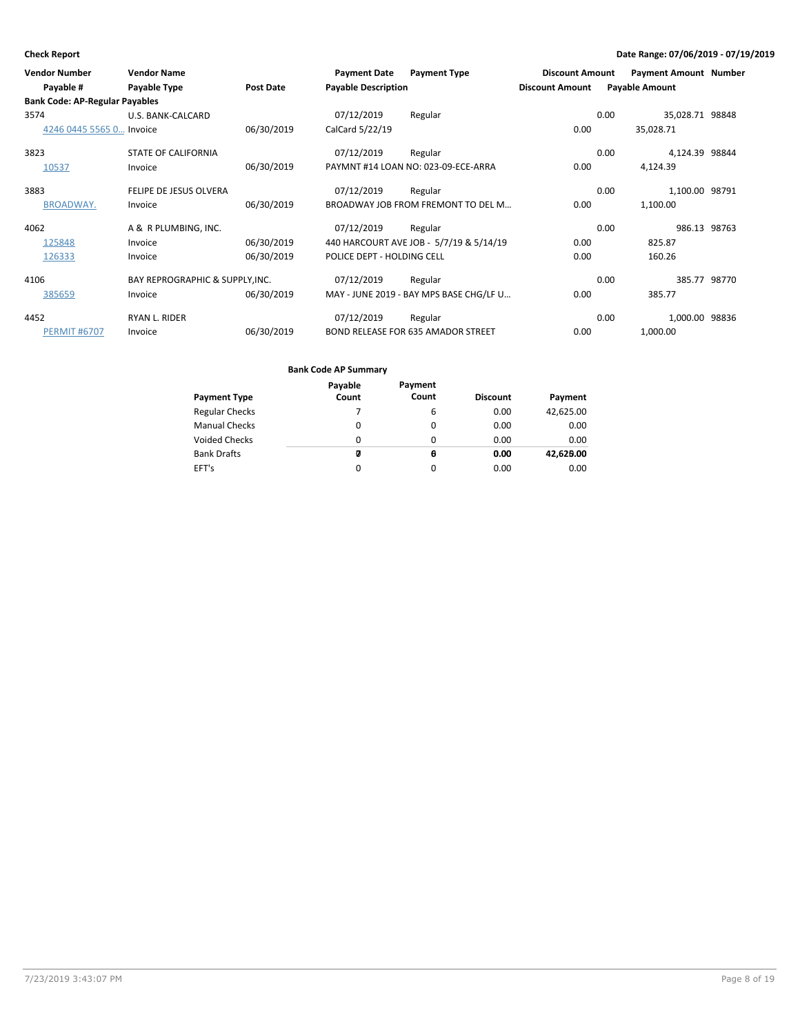| <b>Vendor Number</b><br>Payable #     | <b>Vendor Name</b><br>Payable Type | <b>Post Date</b> | <b>Payment Date</b><br><b>Payable Description</b> | <b>Payment Type</b>                       | <b>Discount Amount</b><br><b>Discount Amount</b> | <b>Payment Amount Number</b><br><b>Payable Amount</b> |              |
|---------------------------------------|------------------------------------|------------------|---------------------------------------------------|-------------------------------------------|--------------------------------------------------|-------------------------------------------------------|--------------|
| <b>Bank Code: AP-Regular Payables</b> |                                    |                  |                                                   |                                           |                                                  |                                                       |              |
| 3574                                  | U.S. BANK-CALCARD                  |                  | 07/12/2019                                        | Regular                                   |                                                  | 35,028.71 98848<br>0.00                               |              |
| 4246 0445 5565 0 Invoice              |                                    | 06/30/2019       | CalCard 5/22/19                                   |                                           | 0.00                                             | 35,028.71                                             |              |
| 3823                                  | <b>STATE OF CALIFORNIA</b>         |                  | 07/12/2019                                        | Regular                                   |                                                  | 4,124.39 98844<br>0.00                                |              |
| 10537                                 | Invoice                            | 06/30/2019       |                                                   | PAYMNT #14 LOAN NO: 023-09-ECE-ARRA       | 0.00                                             | 4,124.39                                              |              |
| 3883                                  | FELIPE DE JESUS OLVERA             |                  | 07/12/2019                                        | Regular                                   |                                                  | 0.00<br>1,100.00 98791                                |              |
| <b>BROADWAY.</b>                      | Invoice                            | 06/30/2019       |                                                   | BROADWAY JOB FROM FREMONT TO DEL M        | 0.00                                             | 1,100.00                                              |              |
| 4062                                  | A & R PLUMBING, INC.               |                  | 07/12/2019                                        | Regular                                   |                                                  | 0.00                                                  | 986.13 98763 |
| 125848                                | Invoice                            | 06/30/2019       |                                                   | 440 HARCOURT AVE JOB - 5/7/19 & 5/14/19   | 0.00                                             | 825.87                                                |              |
| 126333                                | Invoice                            | 06/30/2019       | POLICE DEPT - HOLDING CELL                        |                                           | 0.00                                             | 160.26                                                |              |
| 4106                                  | BAY REPROGRAPHIC & SUPPLY, INC.    |                  | 07/12/2019                                        | Regular                                   |                                                  | 0.00                                                  | 385.77 98770 |
| 385659                                | Invoice                            | 06/30/2019       |                                                   | MAY - JUNE 2019 - BAY MPS BASE CHG/LF U   | 0.00                                             | 385.77                                                |              |
| 4452                                  | <b>RYAN L. RIDER</b>               |                  | 07/12/2019                                        | Regular                                   |                                                  | 1,000.00 98836<br>0.00                                |              |
| <b>PERMIT #6707</b>                   | Invoice                            | 06/30/2019       |                                                   | <b>BOND RELEASE FOR 635 AMADOR STREET</b> | 0.00                                             | 1,000.00                                              |              |

| Payable | Payment  |                 |           |
|---------|----------|-----------------|-----------|
| Count   |          | <b>Discount</b> | Payment   |
|         | 6        | 0.00            | 42,625.00 |
| 0       | 0        | 0.00            | 0.00      |
| 0       | 0        | 0.00            | 0.00      |
| Ø       | θ        | 0.00            | 42,626.00 |
| 0       | $\Omega$ | 0.00            | 0.00      |
|         |          | Count           |           |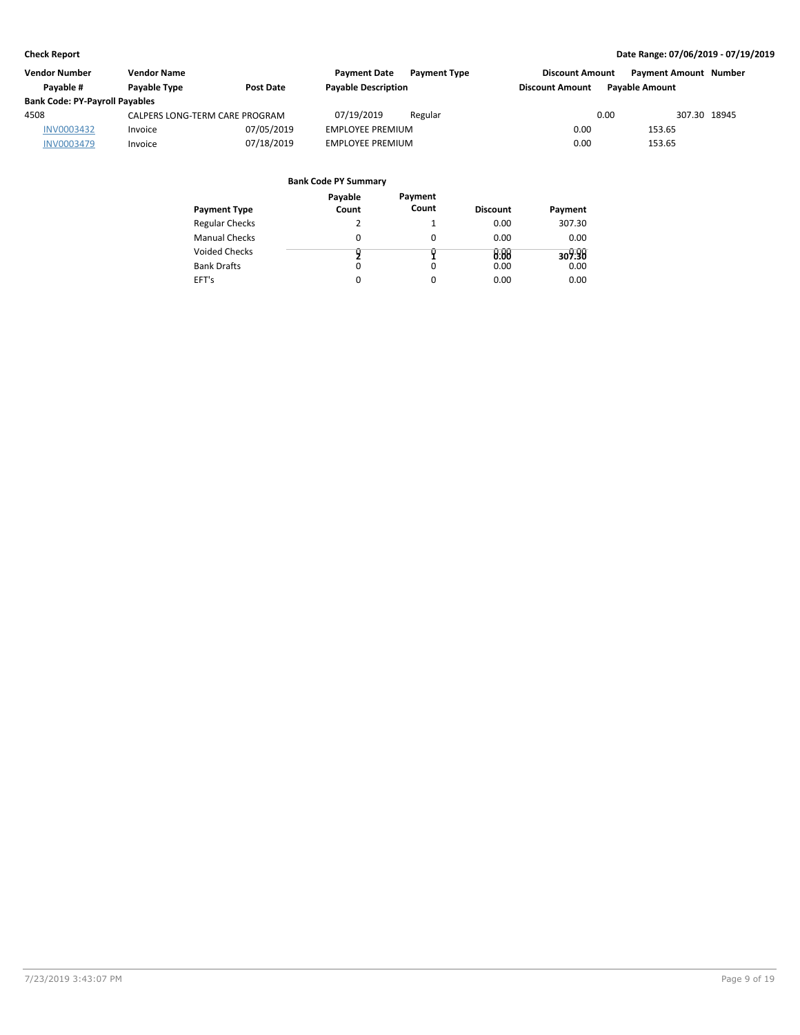| <b>Vendor Number</b>                  | <b>Vendor Name</b>             |                  | <b>Payment Date</b>        | <b>Payment Type</b> | <b>Discount Amount</b> |                       | <b>Payment Amount Number</b> |
|---------------------------------------|--------------------------------|------------------|----------------------------|---------------------|------------------------|-----------------------|------------------------------|
| Pavable #                             | Payable Type                   | <b>Post Date</b> | <b>Payable Description</b> |                     | <b>Discount Amount</b> | <b>Pavable Amount</b> |                              |
| <b>Bank Code: PY-Payroll Payables</b> |                                |                  |                            |                     |                        |                       |                              |
| 4508                                  | CALPERS LONG-TERM CARE PROGRAM |                  | 07/19/2019                 | Regular             |                        | 0.00                  | 307.30 18945                 |
| INV0003432                            | Invoice                        | 07/05/2019       | <b>EMPLOYEE PREMIUM</b>    |                     | 0.00                   | 153.65                |                              |
| <b>INV0003479</b>                     | Invoice                        | 07/18/2019       | <b>EMPLOYEE PREMIUM</b>    |                     | 0.00                   | 153.65                |                              |

| <b>Payment Type</b>   | Payable<br>Count | Payment<br>Count | <b>Discount</b> | Payment |
|-----------------------|------------------|------------------|-----------------|---------|
| <b>Regular Checks</b> |                  | 1                | 0.00            | 307.30  |
| <b>Manual Checks</b>  | 0                | $\Omega$         | 0.00            | 0.00    |
| <b>Voided Checks</b>  |                  |                  | 0.00            | 309.90  |
| <b>Bank Drafts</b>    | 0                | $\Omega$         | 0.00            | 0.00    |
| EFT's                 | 0                | $\Omega$         | 0.00            | 0.00    |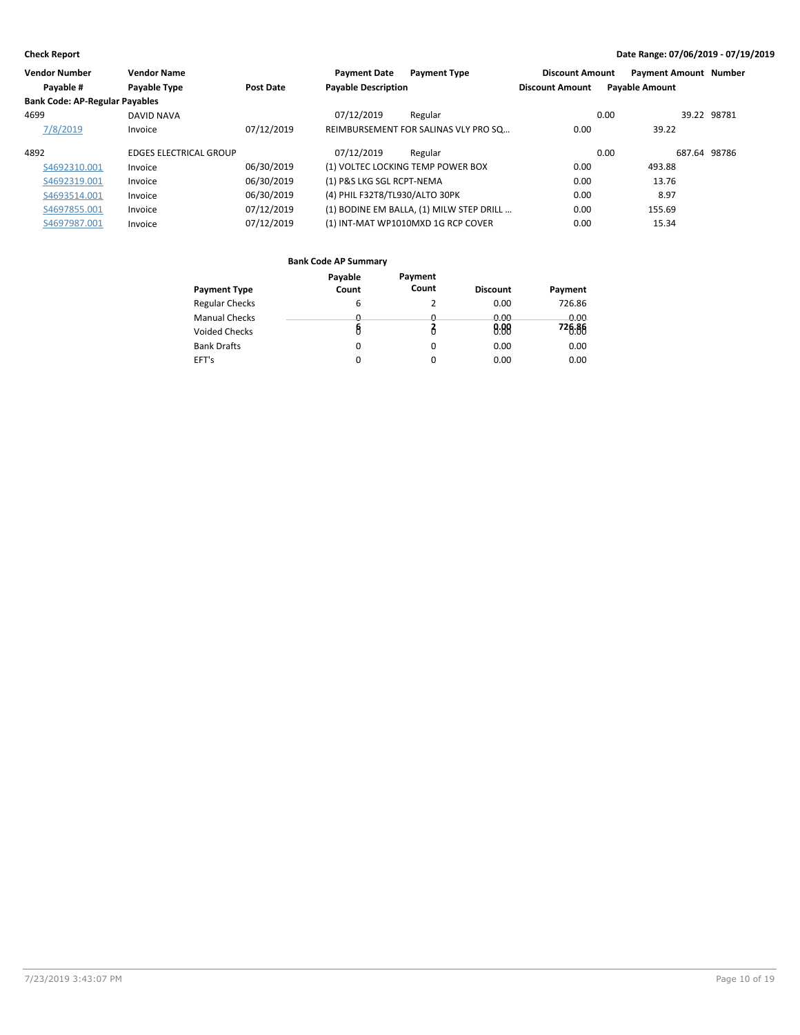| <b>Vendor Number</b>                  | <b>Vendor Name</b>            |                  | <b>Payment Date</b>               | <b>Payment Type</b>                      | <b>Discount Amount</b> | <b>Payment Amount Number</b> |              |
|---------------------------------------|-------------------------------|------------------|-----------------------------------|------------------------------------------|------------------------|------------------------------|--------------|
| Payable #                             | Payable Type                  | <b>Post Date</b> | <b>Payable Description</b>        |                                          | <b>Discount Amount</b> | <b>Payable Amount</b>        |              |
| <b>Bank Code: AP-Regular Payables</b> |                               |                  |                                   |                                          |                        |                              |              |
| 4699                                  | <b>DAVID NAVA</b>             |                  | 07/12/2019                        | Regular                                  |                        | 0.00                         | 39.22 98781  |
| 7/8/2019                              | Invoice                       | 07/12/2019       |                                   | REIMBURSEMENT FOR SALINAS VLY PRO SQ     | 0.00                   | 39.22                        |              |
| 4892                                  | <b>EDGES ELECTRICAL GROUP</b> |                  | 07/12/2019                        | Regular                                  |                        | 0.00                         | 687.64 98786 |
| S4692310.001                          | Invoice                       | 06/30/2019       | (1) VOLTEC LOCKING TEMP POWER BOX |                                          | 0.00                   | 493.88                       |              |
| S4692319.001                          | Invoice                       | 06/30/2019       | (1) P&S LKG SGL RCPT-NEMA         |                                          | 0.00                   | 13.76                        |              |
| S4693514.001                          | Invoice                       | 06/30/2019       | (4) PHIL F32T8/TL930/ALTO 30PK    |                                          | 0.00                   | 8.97                         |              |
| S4697855.001                          | Invoice                       | 07/12/2019       |                                   | (1) BODINE EM BALLA, (1) MILW STEP DRILL | 0.00                   | 155.69                       |              |
| S4697987.001                          | Invoice                       | 07/12/2019       |                                   | (1) INT-MAT WP1010MXD 1G RCP COVER       | 0.00                   | 15.34                        |              |

|                       | Payable      | Payment      |                 |         |
|-----------------------|--------------|--------------|-----------------|---------|
| <b>Payment Type</b>   | Count        | Count        | <b>Discount</b> | Payment |
| <b>Regular Checks</b> | 6            |              | 0.00            | 726.86  |
| <b>Manual Checks</b>  | <sup>0</sup> | <sup>n</sup> | 0.00            | 0.00    |
| <b>Voided Checks</b>  | 8            |              | 0.88            | 726.86  |
| <b>Bank Drafts</b>    | 0            | 0            | 0.00            | 0.00    |
| EFT's                 | 0            | 0            | 0.00            | 0.00    |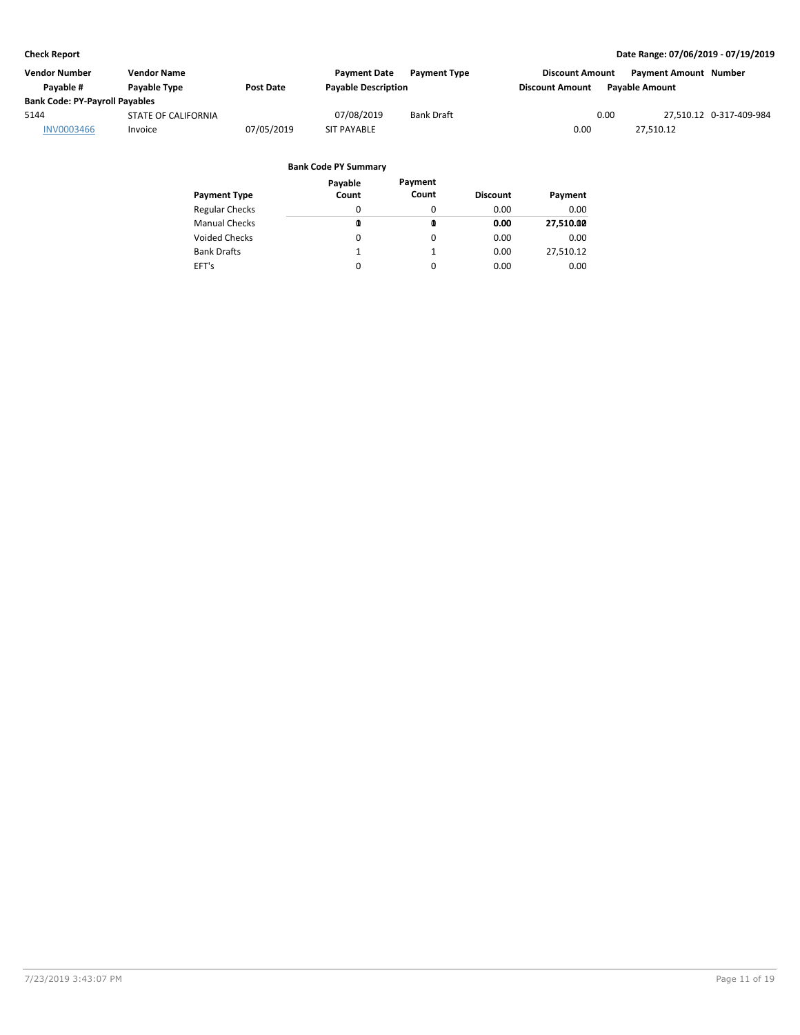| Vendor Number                         | <b>Vendor Name</b>  |                  | <b>Payment Date</b>        | <b>Payment Type</b> | <b>Discount Amount</b> | Payment Amount Number   |
|---------------------------------------|---------------------|------------------|----------------------------|---------------------|------------------------|-------------------------|
| Pavable #                             | Payable Type        | <b>Post Date</b> | <b>Payable Description</b> |                     | <b>Discount Amount</b> | <b>Pavable Amount</b>   |
| <b>Bank Code: PY-Payroll Payables</b> |                     |                  |                            |                     |                        |                         |
| 5144                                  | STATE OF CALIFORNIA |                  | 07/08/2019                 | <b>Bank Draft</b>   | 0.00                   | 27,510.12 0-317-409-984 |
| <b>INV0003466</b>                     | Invoice             | 07/05/2019       | <b>SIT PAYABLE</b>         |                     | 0.00                   | 27.510.12               |

|                       | Payable | Payment  |                 |           |
|-----------------------|---------|----------|-----------------|-----------|
| <b>Payment Type</b>   | Count   | Count    | <b>Discount</b> | Payment   |
| <b>Regular Checks</b> | 0       | 0        | 0.00            | 0.00      |
| <b>Manual Checks</b>  | 0       | ◍        | 0.00            | 27,510.00 |
| <b>Voided Checks</b>  | 0       | $\Omega$ | 0.00            | 0.00      |
| <b>Bank Drafts</b>    | 1       | 1        | 0.00            | 27,510.12 |
| EFT's                 | 0       | 0        | 0.00            | 0.00      |
|                       |         |          |                 |           |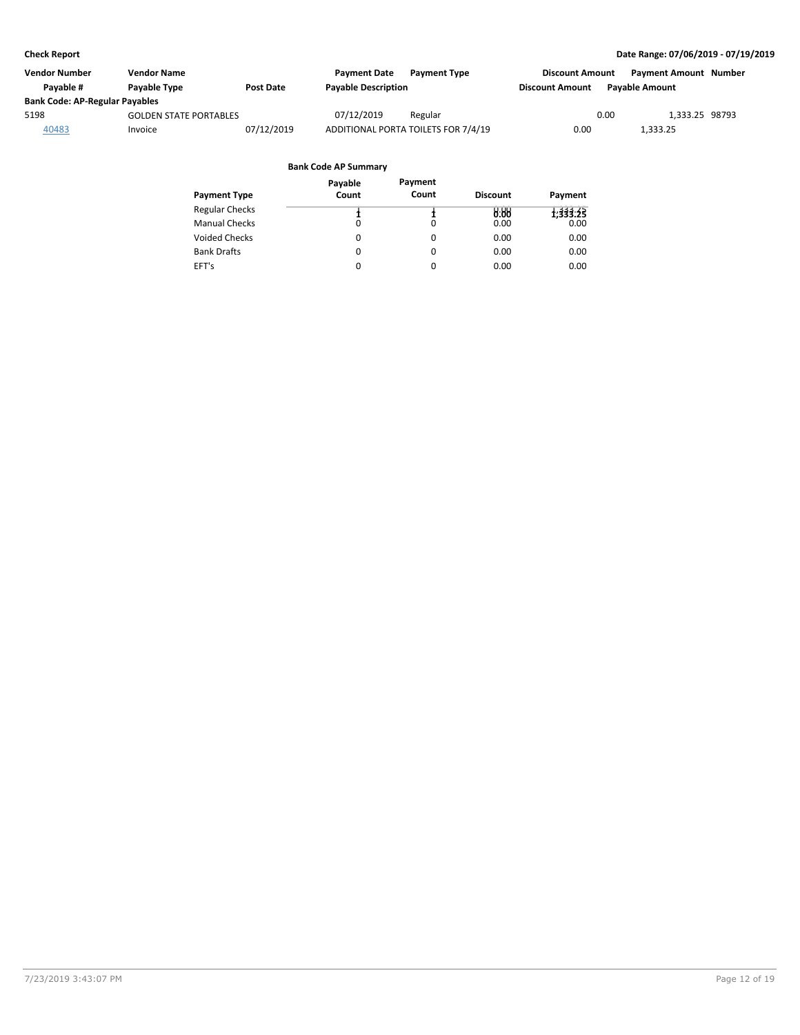| Vendor Number                         | <b>Vendor Name</b>            |                  | <b>Payment Date</b>        | <b>Payment Type</b>                 | <b>Discount Amount</b> |                       | <b>Payment Amount Number</b> |  |
|---------------------------------------|-------------------------------|------------------|----------------------------|-------------------------------------|------------------------|-----------------------|------------------------------|--|
| Pavable #                             | Payable Type                  | <b>Post Date</b> | <b>Payable Description</b> |                                     | <b>Discount Amount</b> | <b>Pavable Amount</b> |                              |  |
| <b>Bank Code: AP-Regular Payables</b> |                               |                  |                            |                                     |                        |                       |                              |  |
| 5198                                  | <b>GOLDEN STATE PORTABLES</b> |                  | 07/12/2019                 | Regular                             |                        | 0.00                  | 1.333.25 98793               |  |
| 40483                                 | Invoice                       | 07/12/2019       |                            | ADDITIONAL PORTA TOILETS FOR 7/4/19 | 0.00                   | 1,333.25              |                              |  |

|                       | Payable  | Payment |                 |          |
|-----------------------|----------|---------|-----------------|----------|
| <b>Payment Type</b>   | Count    | Count   | <b>Discount</b> | Payment  |
| <b>Regular Checks</b> |          |         | 0.88            | 1,333.25 |
| <b>Manual Checks</b>  | $\Omega$ | 0       | 0.00            | 0.00     |
| <b>Voided Checks</b>  | 0        | 0       | 0.00            | 0.00     |
| <b>Bank Drafts</b>    | 0        | 0       | 0.00            | 0.00     |
| EFT's                 | 0        | 0       | 0.00            | 0.00     |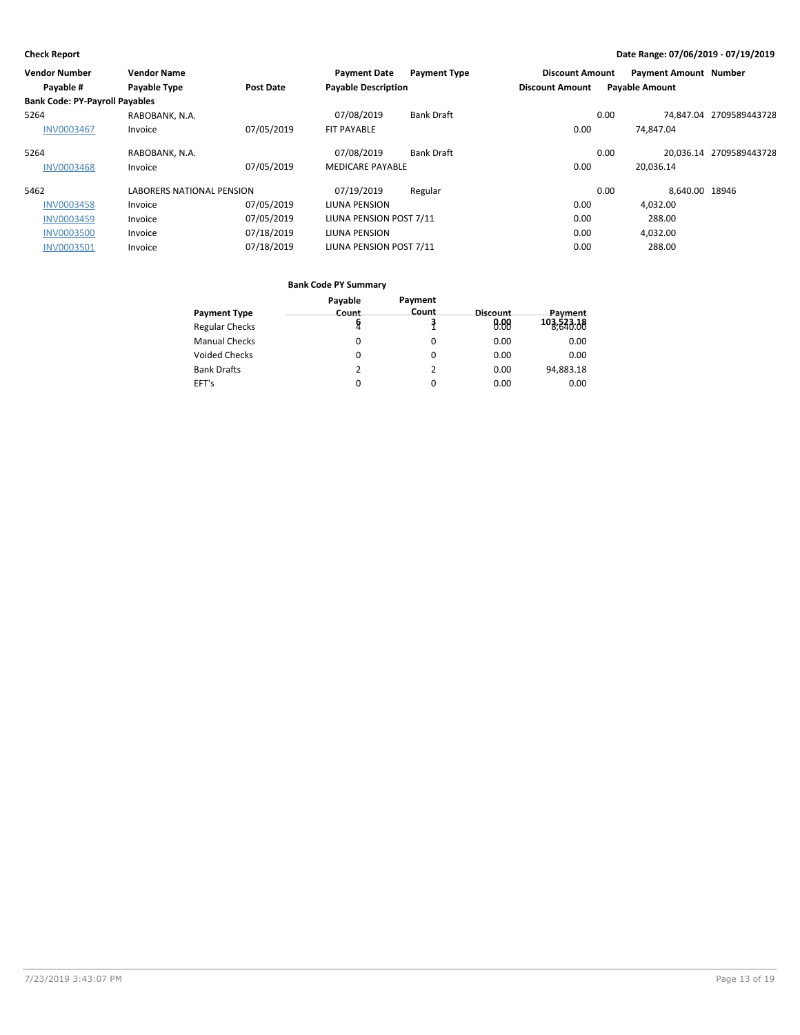| Vendor Number                         | <b>Vendor Name</b>               |                  | <b>Payment Date</b>        | <b>Payment Type</b> | <b>Discount Amount</b> |      | <b>Payment Amount Number</b> |                         |
|---------------------------------------|----------------------------------|------------------|----------------------------|---------------------|------------------------|------|------------------------------|-------------------------|
| Payable #                             | Payable Type                     | <b>Post Date</b> | <b>Payable Description</b> |                     | <b>Discount Amount</b> |      | <b>Payable Amount</b>        |                         |
| <b>Bank Code: PY-Payroll Payables</b> |                                  |                  |                            |                     |                        |      |                              |                         |
| 5264                                  | RABOBANK, N.A.                   |                  | 07/08/2019                 | <b>Bank Draft</b>   |                        | 0.00 |                              | 74.847.04 2709589443728 |
| <b>INV0003467</b>                     | Invoice                          | 07/05/2019       | <b>FIT PAYABLE</b>         |                     | 0.00                   |      | 74.847.04                    |                         |
| 5264                                  | RABOBANK, N.A.                   |                  | 07/08/2019                 | <b>Bank Draft</b>   |                        | 0.00 |                              | 20.036.14 2709589443728 |
| <b>INV0003468</b>                     | Invoice                          | 07/05/2019       | <b>MEDICARE PAYABLE</b>    |                     | 0.00                   |      | 20.036.14                    |                         |
| 5462                                  | <b>LABORERS NATIONAL PENSION</b> |                  | 07/19/2019                 | Regular             |                        | 0.00 | 8.640.00 18946               |                         |
| <b>INV0003458</b>                     | Invoice                          | 07/05/2019       | LIUNA PENSION              |                     | 0.00                   |      | 4,032.00                     |                         |
| <b>INV0003459</b>                     | Invoice                          | 07/05/2019       | LIUNA PENSION POST 7/11    |                     | 0.00                   |      | 288.00                       |                         |
| <b>INV0003500</b>                     | Invoice                          | 07/18/2019       | LIUNA PENSION              |                     | 0.00                   |      | 4,032.00                     |                         |
| INV0003501                            | Invoice                          | 07/18/2019       | LIUNA PENSION POST 7/11    |                     | 0.00                   |      | 288.00                       |                         |

|                       | Payable  | Payment      |          |              |
|-----------------------|----------|--------------|----------|--------------|
| <b>Payment Type</b>   | Count    | <b>Count</b> | Discount | Payment      |
| <b>Regular Checks</b> | 8        |              | 0.00     | 103, 523. 18 |
| <b>Manual Checks</b>  | $\Omega$ | 0            | 0.00     | 0.00         |
| <b>Voided Checks</b>  | 0        | O            | 0.00     | 0.00         |
| <b>Bank Drafts</b>    |          |              | 0.00     | 94,883.18    |
| EFT's                 | 0        |              | 0.00     | 0.00         |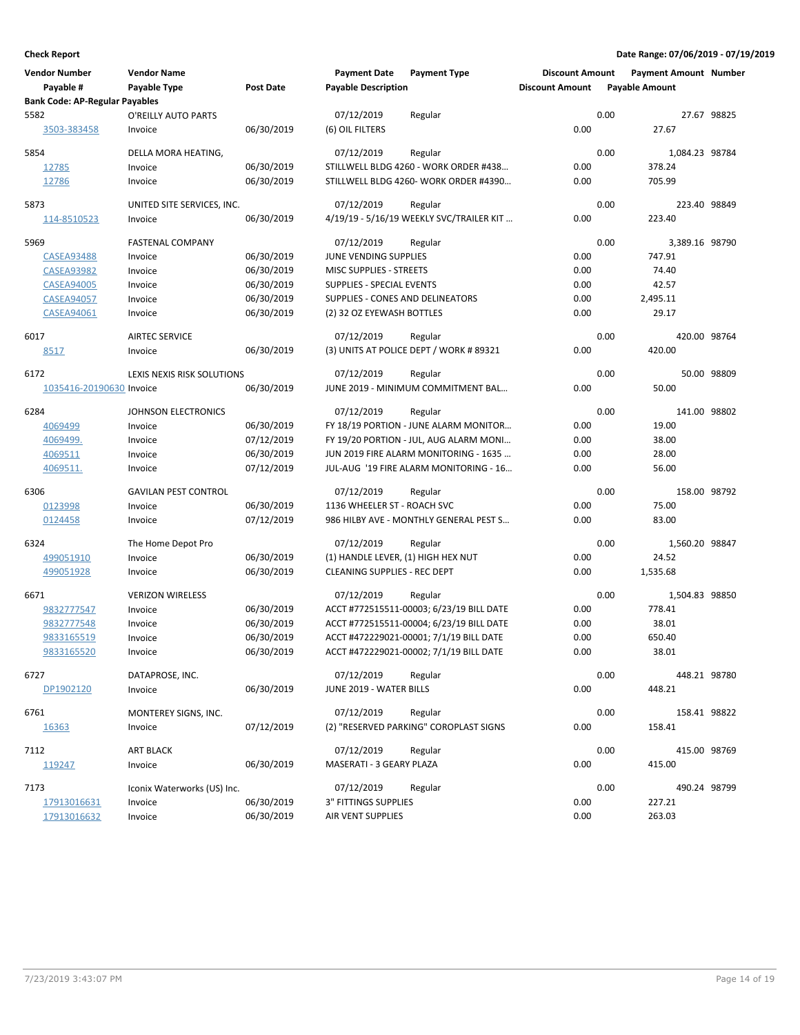| <b>Vendor Number</b>                  | <b>Vendor Name</b>          |                  | <b>Payment Date</b>                 | <b>Payment Type</b>                      | <b>Discount Amount</b> | <b>Payment Amount Number</b> |                |
|---------------------------------------|-----------------------------|------------------|-------------------------------------|------------------------------------------|------------------------|------------------------------|----------------|
| Payable #                             | Payable Type                | <b>Post Date</b> | <b>Payable Description</b>          |                                          | <b>Discount Amount</b> | <b>Payable Amount</b>        |                |
| <b>Bank Code: AP-Regular Payables</b> |                             |                  |                                     |                                          |                        |                              |                |
| 5582                                  | O'REILLY AUTO PARTS         |                  | 07/12/2019                          | Regular                                  |                        | 0.00                         | 27.67 98825    |
| 3503-383458                           | Invoice                     | 06/30/2019       | (6) OIL FILTERS                     |                                          | 0.00                   | 27.67                        |                |
| 5854                                  | DELLA MORA HEATING,         |                  | 07/12/2019                          | Regular                                  |                        | 0.00                         | 1,084.23 98784 |
| 12785                                 | Invoice                     | 06/30/2019       |                                     | STILLWELL BLDG 4260 - WORK ORDER #438    | 0.00                   | 378.24                       |                |
| 12786                                 | Invoice                     | 06/30/2019       |                                     | STILLWELL BLDG 4260- WORK ORDER #4390    | 0.00                   | 705.99                       |                |
| 5873                                  | UNITED SITE SERVICES, INC.  |                  | 07/12/2019                          | Regular                                  |                        | 0.00                         | 223.40 98849   |
| 114-8510523                           | Invoice                     | 06/30/2019       |                                     | 4/19/19 - 5/16/19 WEEKLY SVC/TRAILER KIT | 0.00                   | 223.40                       |                |
| 5969                                  | <b>FASTENAL COMPANY</b>     |                  | 07/12/2019                          | Regular                                  |                        | 0.00                         | 3,389.16 98790 |
| <b>CASEA93488</b>                     | Invoice                     | 06/30/2019       | JUNE VENDING SUPPLIES               |                                          | 0.00                   | 747.91                       |                |
| <b>CASEA93982</b>                     | Invoice                     | 06/30/2019       | MISC SUPPLIES - STREETS             |                                          | 0.00                   | 74.40                        |                |
| <b>CASEA94005</b>                     | Invoice                     | 06/30/2019       | <b>SUPPLIES - SPECIAL EVENTS</b>    |                                          | 0.00                   | 42.57                        |                |
| <b>CASEA94057</b>                     | Invoice                     | 06/30/2019       | SUPPLIES - CONES AND DELINEATORS    |                                          | 0.00                   | 2,495.11                     |                |
| <b>CASEA94061</b>                     | Invoice                     | 06/30/2019       | (2) 32 OZ EYEWASH BOTTLES           |                                          | 0.00                   | 29.17                        |                |
| 6017                                  | <b>AIRTEC SERVICE</b>       |                  | 07/12/2019                          | Regular                                  |                        | 0.00                         | 420.00 98764   |
| 8517                                  | Invoice                     | 06/30/2019       |                                     | (3) UNITS AT POLICE DEPT / WORK # 89321  | 0.00                   | 420.00                       |                |
| 6172                                  | LEXIS NEXIS RISK SOLUTIONS  |                  | 07/12/2019                          | Regular                                  |                        | 0.00                         | 50.00 98809    |
| 1035416-20190630 Invoice              |                             | 06/30/2019       |                                     | JUNE 2019 - MINIMUM COMMITMENT BAL       | 0.00                   | 50.00                        |                |
| 6284                                  | <b>JOHNSON ELECTRONICS</b>  |                  | 07/12/2019                          | Regular                                  |                        | 0.00                         | 141.00 98802   |
| 4069499                               | Invoice                     | 06/30/2019       |                                     | FY 18/19 PORTION - JUNE ALARM MONITOR    | 0.00                   | 19.00                        |                |
| 4069499.                              | Invoice                     | 07/12/2019       |                                     | FY 19/20 PORTION - JUL, AUG ALARM MONI   | 0.00                   | 38.00                        |                |
| 4069511                               | Invoice                     | 06/30/2019       |                                     | JUN 2019 FIRE ALARM MONITORING - 1635    | 0.00                   | 28.00                        |                |
| 4069511.                              | Invoice                     | 07/12/2019       |                                     | JUL-AUG '19 FIRE ALARM MONITORING - 16   | 0.00                   | 56.00                        |                |
| 6306                                  | <b>GAVILAN PEST CONTROL</b> |                  | 07/12/2019                          | Regular                                  |                        | 0.00                         | 158.00 98792   |
| 0123998                               | Invoice                     | 06/30/2019       | 1136 WHEELER ST - ROACH SVC         |                                          | 0.00                   | 75.00                        |                |
| 0124458                               | Invoice                     | 07/12/2019       |                                     | 986 HILBY AVE - MONTHLY GENERAL PEST S   | 0.00                   | 83.00                        |                |
| 6324                                  | The Home Depot Pro          |                  | 07/12/2019                          | Regular                                  |                        | 0.00                         | 1,560.20 98847 |
| 499051910                             | Invoice                     | 06/30/2019       | (1) HANDLE LEVER, (1) HIGH HEX NUT  |                                          | 0.00                   | 24.52                        |                |
| 499051928                             | Invoice                     | 06/30/2019       | <b>CLEANING SUPPLIES - REC DEPT</b> |                                          | 0.00                   | 1,535.68                     |                |
| 6671                                  | <b>VERIZON WIRELESS</b>     |                  | 07/12/2019                          | Regular                                  |                        | 0.00                         | 1,504.83 98850 |
| 9832777547                            | Invoice                     | 06/30/2019       |                                     | ACCT #772515511-00003; 6/23/19 BILL DATE | 0.00                   | 778.41                       |                |
| 9832777548                            | Invoice                     | 06/30/2019       |                                     | ACCT #772515511-00004; 6/23/19 BILL DATE | 0.00                   | 38.01                        |                |
| 9833165519                            | Invoice                     | 06/30/2019       |                                     | ACCT #472229021-00001; 7/1/19 BILL DATE  | 0.00                   | 650.40                       |                |
| <u>9833165520</u>                     | Invoice                     | 06/30/2019       |                                     | ACCT #472229021-00002; 7/1/19 BILL DATE  | 0.00                   | 38.01                        |                |
| 6727                                  | DATAPROSE, INC.             |                  | 07/12/2019                          | Regular                                  |                        | 0.00                         | 448.21 98780   |
| DP1902120                             | Invoice                     | 06/30/2019       | JUNE 2019 - WATER BILLS             |                                          | 0.00                   | 448.21                       |                |
| 6761                                  | MONTEREY SIGNS, INC.        |                  | 07/12/2019                          | Regular                                  |                        | 0.00                         | 158.41 98822   |
| 16363                                 | Invoice                     | 07/12/2019       |                                     | (2) "RESERVED PARKING" COROPLAST SIGNS   | 0.00                   | 158.41                       |                |
| 7112                                  | ART BLACK                   |                  | 07/12/2019                          | Regular                                  |                        | 0.00                         | 415.00 98769   |
| 119247                                | Invoice                     | 06/30/2019       | MASERATI - 3 GEARY PLAZA            |                                          | 0.00                   | 415.00                       |                |
| 7173                                  | Iconix Waterworks (US) Inc. |                  | 07/12/2019                          | Regular                                  |                        | 0.00                         | 490.24 98799   |
| 17913016631                           | Invoice                     | 06/30/2019       | 3" FITTINGS SUPPLIES                |                                          | 0.00                   | 227.21                       |                |
| 17913016632                           | Invoice                     | 06/30/2019       | AIR VENT SUPPLIES                   |                                          | 0.00                   | 263.03                       |                |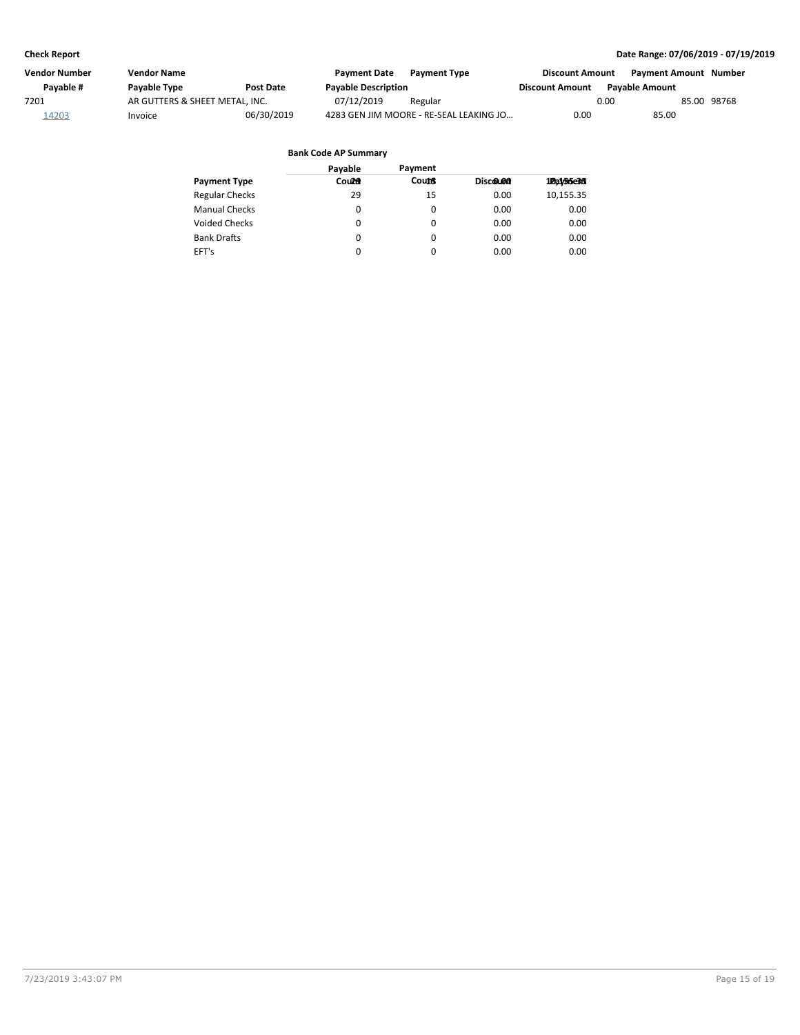| Vendor Number | Vendor Name                    |                  | <b>Payment Date</b>        | <b>Payment Type</b>                     | <b>Discount Amount</b> | Payment Amount Number |             |
|---------------|--------------------------------|------------------|----------------------------|-----------------------------------------|------------------------|-----------------------|-------------|
| Pavable #     | <b>Pavable Type</b>            | <b>Post Date</b> | <b>Payable Description</b> |                                         | <b>Discount Amount</b> | <b>Pavable Amount</b> |             |
| 7201          | AR GUTTERS & SHEET METAL, INC. |                  | 07/12/2019                 | Regular                                 |                        | 0.00                  | 85.00 98768 |
| 14203         | Invoice                        | 06/30/2019       |                            | 4283 GEN JIM MOORE - RE-SEAL LEAKING JO | 0.00                   | 85.00                 |             |

| Payable | Payment      |          |            |
|---------|--------------|----------|------------|
| Count   | <b>Count</b> | Discolon | 10a1/55e36 |
| 29      | 15           | 0.00     | 10,155.35  |
| 0       | 0            | 0.00     | 0.00       |
| 0       | 0            | 0.00     | 0.00       |
| 0       | 0            | 0.00     | 0.00       |
| 0       | $\Omega$     | 0.00     | 0.00       |
|         |              |          |            |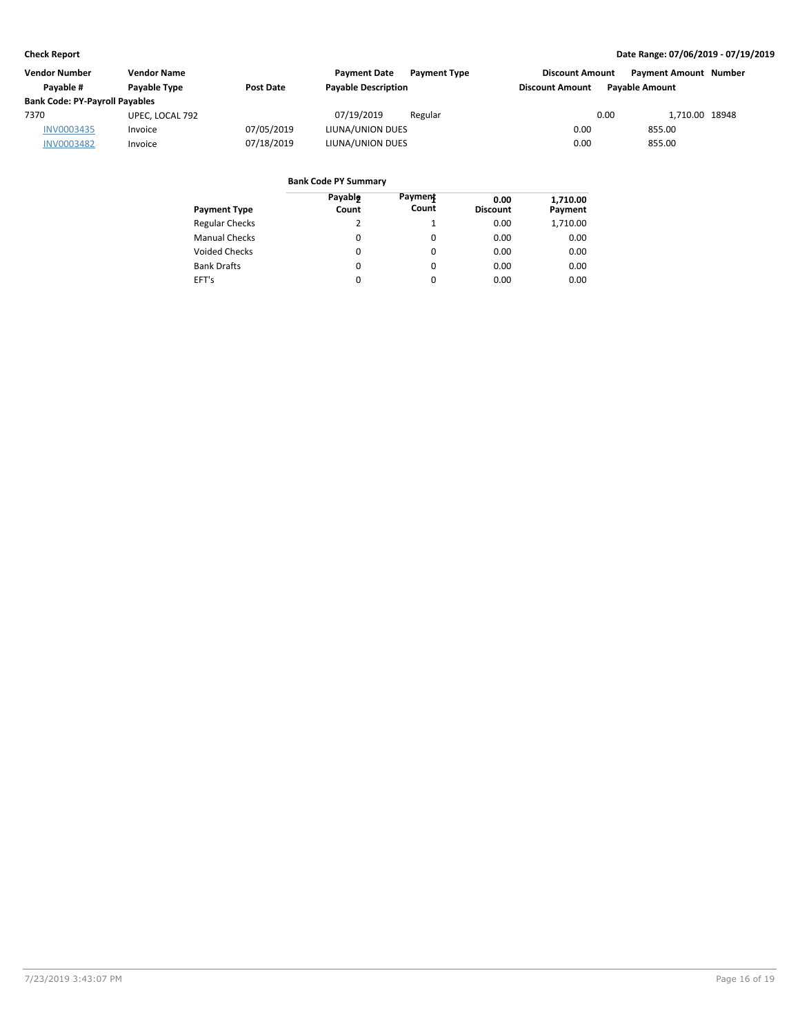| <b>Vendor Number</b>                  | <b>Vendor Name</b>  |            | <b>Payment Date</b>        | <b>Payment Type</b> | <b>Discount Amount</b> | <b>Payment Amount Number</b> |  |
|---------------------------------------|---------------------|------------|----------------------------|---------------------|------------------------|------------------------------|--|
| Pavable #                             | <b>Pavable Type</b> | Post Date  | <b>Payable Description</b> |                     | <b>Discount Amount</b> | <b>Pavable Amount</b>        |  |
| <b>Bank Code: PY-Payroll Payables</b> |                     |            |                            |                     |                        |                              |  |
| 7370                                  | UPEC, LOCAL 792     |            | 07/19/2019                 | Regular             |                        | 0.00<br>1,710.00 18948       |  |
| INV0003435                            | Invoice             | 07/05/2019 | LIUNA/UNION DUES           |                     | 0.00                   | 855.00                       |  |
| <b>INV0003482</b>                     | Invoice             | 07/18/2019 | LIUNA/UNION DUES           |                     | 0.00                   | 855.00                       |  |

| <b>Payment Type</b>   | Payable<br>Count | Payment<br>Count | 0.00<br><b>Discount</b> | 1,710.00<br>Payment |
|-----------------------|------------------|------------------|-------------------------|---------------------|
| <b>Regular Checks</b> | 2                | 1                | 0.00                    | 1,710.00            |
| <b>Manual Checks</b>  | 0                | $\Omega$         | 0.00                    | 0.00                |
| <b>Voided Checks</b>  | $\Omega$         | $\Omega$         | 0.00                    | 0.00                |
| <b>Bank Drafts</b>    | $\Omega$         | $\Omega$         | 0.00                    | 0.00                |
| EFT's                 | 0                | $\Omega$         | 0.00                    | 0.00                |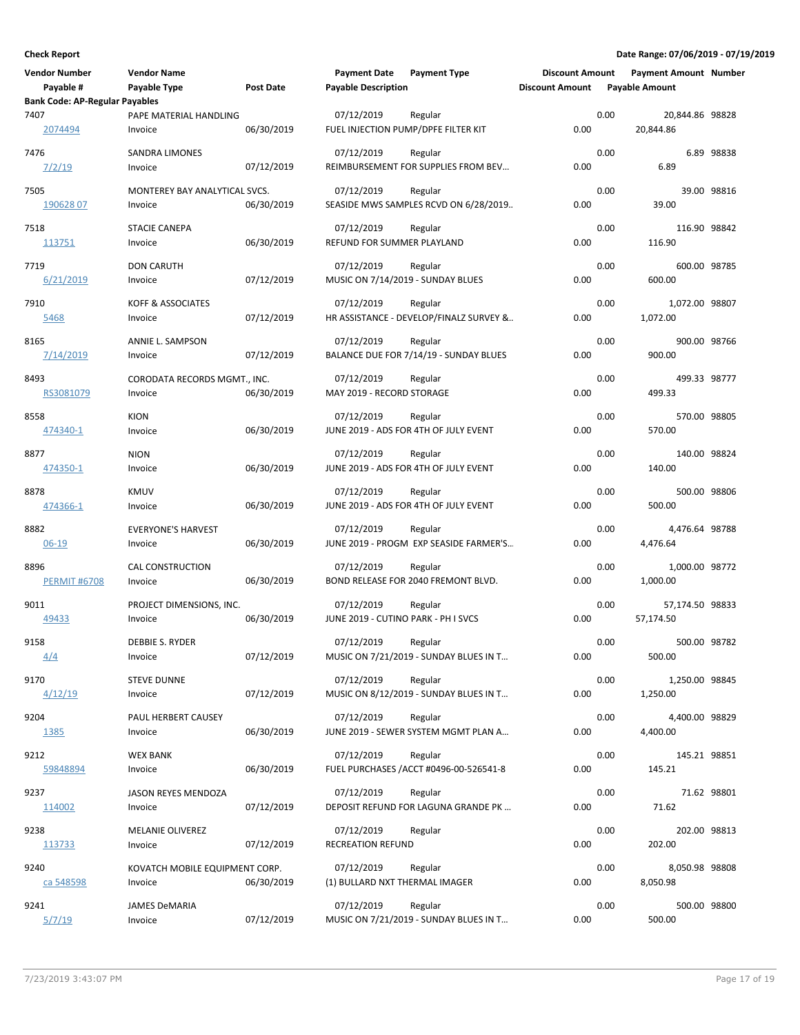| <b>Vendor Number</b><br>Payable #<br><b>Bank Code: AP-Regular Payables</b> | <b>Vendor Name</b><br>Payable Type        | <b>Post Date</b> | <b>Payment Date</b><br><b>Payable Description</b> | <b>Payment Type</b>                                | <b>Discount Amount</b><br><b>Discount Amount</b> |      | <b>Payment Amount Number</b><br><b>Payable Amount</b> |             |
|----------------------------------------------------------------------------|-------------------------------------------|------------------|---------------------------------------------------|----------------------------------------------------|--------------------------------------------------|------|-------------------------------------------------------|-------------|
| 7407<br>2074494                                                            | PAPE MATERIAL HANDLING<br>Invoice         | 06/30/2019       | 07/12/2019<br>FUEL INJECTION PUMP/DPFE FILTER KIT | Regular                                            | 0.00                                             | 0.00 | 20,844.86 98828<br>20,844.86                          |             |
| 7476<br>7/2/19                                                             | <b>SANDRA LIMONES</b><br>Invoice          | 07/12/2019       | 07/12/2019                                        | Regular<br>REIMBURSEMENT FOR SUPPLIES FROM BEV     | 0.00                                             | 0.00 | 6.89                                                  | 6.89 98838  |
| 7505<br>19062807                                                           | MONTEREY BAY ANALYTICAL SVCS.<br>Invoice  | 06/30/2019       | 07/12/2019                                        | Regular<br>SEASIDE MWS SAMPLES RCVD ON 6/28/2019   | 0.00                                             | 0.00 | 39.00                                                 | 39.00 98816 |
| 7518<br>113751                                                             | <b>STACIE CANEPA</b><br>Invoice           | 06/30/2019       | 07/12/2019<br>REFUND FOR SUMMER PLAYLAND          | Regular                                            | 0.00                                             | 0.00 | 116.90 98842<br>116.90                                |             |
| 7719<br>6/21/2019                                                          | <b>DON CARUTH</b><br>Invoice              | 07/12/2019       | 07/12/2019<br>MUSIC ON 7/14/2019 - SUNDAY BLUES   | Regular                                            | 0.00                                             | 0.00 | 600.00 98785<br>600.00                                |             |
| 7910<br>5468                                                               | KOFF & ASSOCIATES<br>Invoice              | 07/12/2019       | 07/12/2019                                        | Regular<br>HR ASSISTANCE - DEVELOP/FINALZ SURVEY & | 0.00                                             | 0.00 | 1,072.00 98807<br>1,072.00                            |             |
| 8165<br>7/14/2019                                                          | ANNIE L. SAMPSON<br>Invoice               | 07/12/2019       | 07/12/2019                                        | Regular<br>BALANCE DUE FOR 7/14/19 - SUNDAY BLUES  | 0.00                                             | 0.00 | 900.00 98766<br>900.00                                |             |
| 8493<br>RS3081079                                                          | CORODATA RECORDS MGMT., INC.<br>Invoice   | 06/30/2019       | 07/12/2019<br>MAY 2019 - RECORD STORAGE           | Regular                                            | 0.00                                             | 0.00 | 499.33 98777<br>499.33                                |             |
| 8558<br>474340-1                                                           | <b>KION</b><br>Invoice                    | 06/30/2019       | 07/12/2019                                        | Regular<br>JUNE 2019 - ADS FOR 4TH OF JULY EVENT   | 0.00                                             | 0.00 | 570.00 98805<br>570.00                                |             |
| 8877<br>474350-1                                                           | <b>NION</b><br>Invoice                    | 06/30/2019       | 07/12/2019                                        | Regular<br>JUNE 2019 - ADS FOR 4TH OF JULY EVENT   | 0.00                                             | 0.00 | 140.00 98824<br>140.00                                |             |
| 8878<br>474366-1                                                           | <b>KMUV</b><br>Invoice                    | 06/30/2019       | 07/12/2019                                        | Regular<br>JUNE 2019 - ADS FOR 4TH OF JULY EVENT   | 0.00                                             | 0.00 | 500.00 98806<br>500.00                                |             |
| 8882<br>$06 - 19$                                                          | <b>EVERYONE'S HARVEST</b><br>Invoice      | 06/30/2019       | 07/12/2019                                        | Regular<br>JUNE 2019 - PROGM EXP SEASIDE FARMER'S  | 0.00                                             | 0.00 | 4,476.64 98788<br>4,476.64                            |             |
| 8896<br><b>PERMIT #6708</b>                                                | <b>CAL CONSTRUCTION</b><br>Invoice        | 06/30/2019       | 07/12/2019                                        | Regular<br>BOND RELEASE FOR 2040 FREMONT BLVD.     | 0.00                                             | 0.00 | 1,000.00 98772<br>1,000.00                            |             |
| 9011<br>49433                                                              | PROJECT DIMENSIONS, INC.<br>Invoice       | 06/30/2019       | 07/12/2019<br>JUNE 2019 - CUTINO PARK - PH I SVCS | Regular                                            | 0.00                                             | 0.00 | 57,174.50 98833<br>57,174.50                          |             |
| 9158<br>4/4                                                                | DEBBIE S. RYDER<br>Invoice                | 07/12/2019       | 07/12/2019                                        | Regular<br>MUSIC ON 7/21/2019 - SUNDAY BLUES IN T  | 0.00                                             | 0.00 | 500.00 98782<br>500.00                                |             |
| 9170<br>4/12/19                                                            | <b>STEVE DUNNE</b><br>Invoice             | 07/12/2019       | 07/12/2019                                        | Regular<br>MUSIC ON 8/12/2019 - SUNDAY BLUES IN T  | 0.00                                             | 0.00 | 1,250.00 98845<br>1,250.00                            |             |
| 9204<br>1385                                                               | PAUL HERBERT CAUSEY<br>Invoice            | 06/30/2019       | 07/12/2019                                        | Regular<br>JUNE 2019 - SEWER SYSTEM MGMT PLAN A    | 0.00                                             | 0.00 | 4,400.00 98829<br>4,400.00                            |             |
| 9212<br>59848894                                                           | WEX BANK<br>Invoice                       | 06/30/2019       | 07/12/2019                                        | Regular<br>FUEL PURCHASES / ACCT #0496-00-526541-8 | 0.00                                             | 0.00 | 145.21 98851<br>145.21                                |             |
| 9237<br>114002                                                             | JASON REYES MENDOZA<br>Invoice            | 07/12/2019       | 07/12/2019                                        | Regular<br>DEPOSIT REFUND FOR LAGUNA GRANDE PK     | 0.00                                             | 0.00 | 71.62                                                 | 71.62 98801 |
| 9238<br>113733                                                             | MELANIE OLIVEREZ<br>Invoice               | 07/12/2019       | 07/12/2019<br>RECREATION REFUND                   | Regular                                            | 0.00                                             | 0.00 | 202.00 98813<br>202.00                                |             |
| 9240<br>ca 548598                                                          | KOVATCH MOBILE EQUIPMENT CORP.<br>Invoice | 06/30/2019       | 07/12/2019<br>(1) BULLARD NXT THERMAL IMAGER      | Regular                                            | 0.00                                             | 0.00 | 8,050.98 98808<br>8,050.98                            |             |
| 9241<br>5/7/19                                                             | <b>JAMES DeMARIA</b><br>Invoice           | 07/12/2019       | 07/12/2019                                        | Regular<br>MUSIC ON 7/21/2019 - SUNDAY BLUES IN T  | 0.00                                             | 0.00 | 500.00 98800<br>500.00                                |             |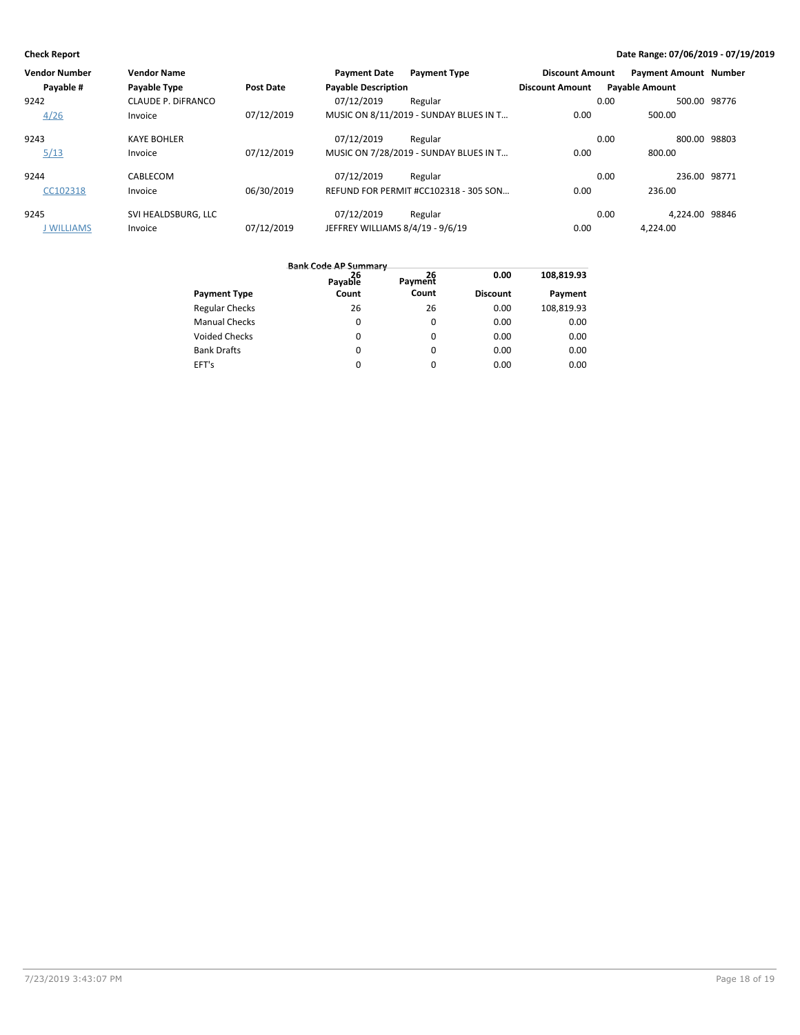| <b>Vendor Name</b>        |                  | <b>Payment Date</b> | <b>Payment Type</b> |                                                                                                                                                                                             |                       |                                                                          |
|---------------------------|------------------|---------------------|---------------------|---------------------------------------------------------------------------------------------------------------------------------------------------------------------------------------------|-----------------------|--------------------------------------------------------------------------|
| Payable Type              | <b>Post Date</b> |                     |                     | <b>Discount Amount</b>                                                                                                                                                                      | <b>Payable Amount</b> |                                                                          |
| <b>CLAUDE P. DIFRANCO</b> |                  | 07/12/2019          | Regular             |                                                                                                                                                                                             | 0.00                  | 500.00 98776                                                             |
| Invoice                   | 07/12/2019       |                     |                     | 0.00                                                                                                                                                                                        | 500.00                |                                                                          |
| <b>KAYE BOHLER</b>        |                  | 07/12/2019          | Regular             |                                                                                                                                                                                             | 0.00                  | 800.00 98803                                                             |
| Invoice                   | 07/12/2019       |                     |                     | 0.00                                                                                                                                                                                        | 800.00                |                                                                          |
| CABLECOM                  |                  | 07/12/2019          | Regular             |                                                                                                                                                                                             | 0.00                  | 236.00 98771                                                             |
| Invoice                   | 06/30/2019       |                     |                     | 0.00                                                                                                                                                                                        | 236.00                |                                                                          |
| SVI HEALDSBURG. LLC       |                  | 07/12/2019          | Regular             |                                                                                                                                                                                             | 0.00                  |                                                                          |
| Invoice                   | 07/12/2019       |                     |                     | 0.00                                                                                                                                                                                        | 4.224.00              |                                                                          |
|                           |                  |                     |                     | <b>Payable Description</b><br>MUSIC ON 8/11/2019 - SUNDAY BLUES IN T<br>MUSIC ON 7/28/2019 - SUNDAY BLUES IN T<br>REFUND FOR PERMIT #CC102318 - 305 SON<br>JEFFREY WILLIAMS 8/4/19 - 9/6/19 |                       | <b>Payment Amount Number</b><br><b>Discount Amount</b><br>4.224.00 98846 |

|                       | <b>Bank Code AP Summary</b> |          |                 |            |
|-----------------------|-----------------------------|----------|-----------------|------------|
|                       | 26<br>Payable               | Payment  | 0.00            | 108,819.93 |
| <b>Payment Type</b>   | Count                       | Count    | <b>Discount</b> | Payment    |
| <b>Regular Checks</b> | 26                          | 26       | 0.00            | 108,819.93 |
| <b>Manual Checks</b>  | $\Omega$                    | $\Omega$ | 0.00            | 0.00       |
| <b>Voided Checks</b>  | $\Omega$                    | $\Omega$ | 0.00            | 0.00       |
| <b>Bank Drafts</b>    | $\Omega$                    | $\Omega$ | 0.00            | 0.00       |
| EFT's                 |                             | 0        | 0.00            | 0.00       |